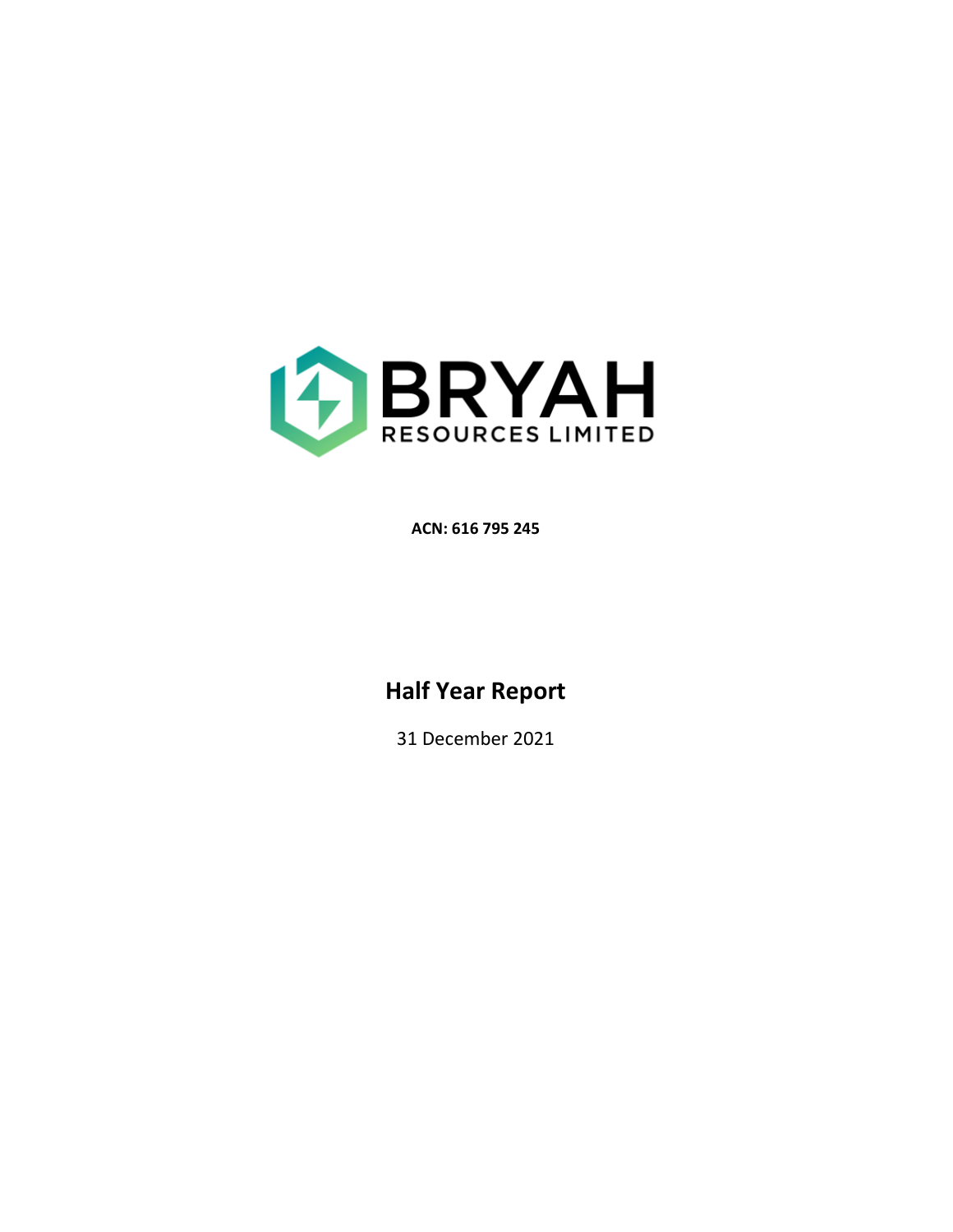

**ACN: 616 795 245** 

# **Half Year Report**

31 December 2021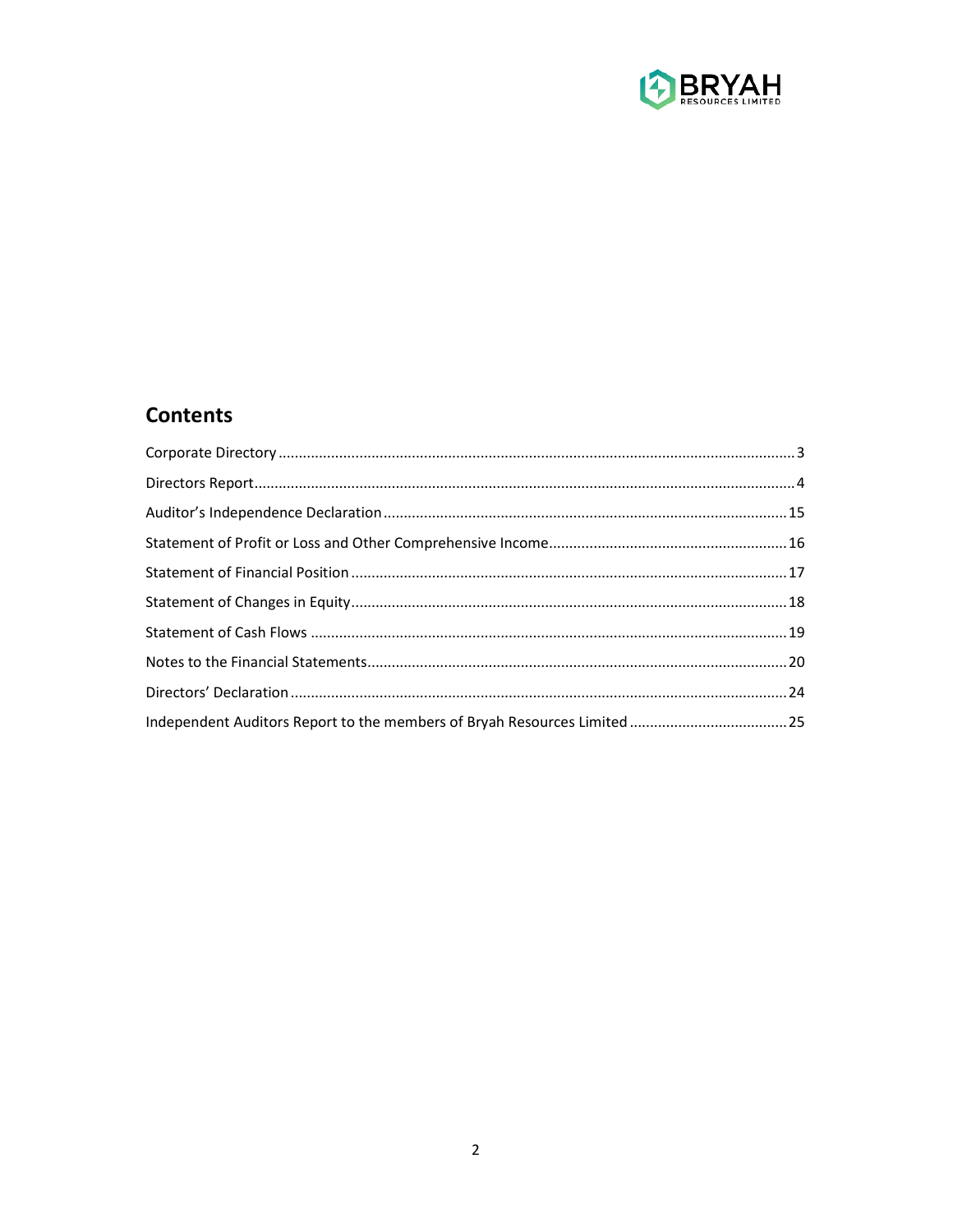

## **Contents**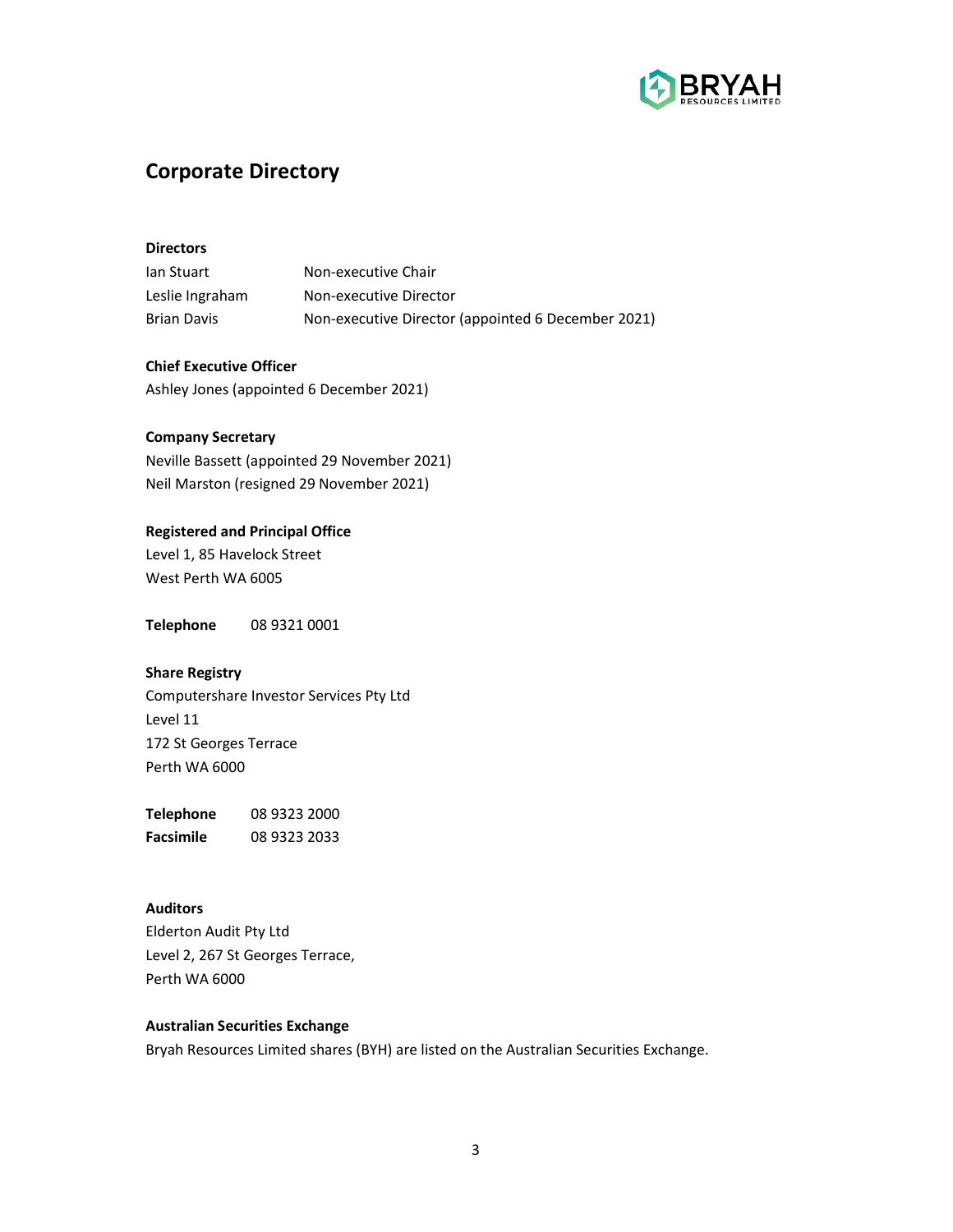

## **Corporate Directory**

## **Directors**

| lan Stuart         | Non-executive Chair                                |
|--------------------|----------------------------------------------------|
| Leslie Ingraham    | Non-executive Director                             |
| <b>Brian Davis</b> | Non-executive Director (appointed 6 December 2021) |

**Chief Executive Officer**  Ashley Jones (appointed 6 December 2021)

## **Company Secretary**

Neville Bassett (appointed 29 November 2021) Neil Marston (resigned 29 November 2021)

## **Registered and Principal Office**

Level 1, 85 Havelock Street West Perth WA 6005

**Telephone** 08 9321 0001

## **Share Registry**

Computershare Investor Services Pty Ltd Level 11 172 St Georges Terrace Perth WA 6000

**Telephone** 08 9323 2000 **Facsimile** 08 9323 2033

## **Auditors**

Elderton Audit Pty Ltd Level 2, 267 St Georges Terrace, Perth WA 6000

## **Australian Securities Exchange**

Bryah Resources Limited shares (BYH) are listed on the Australian Securities Exchange.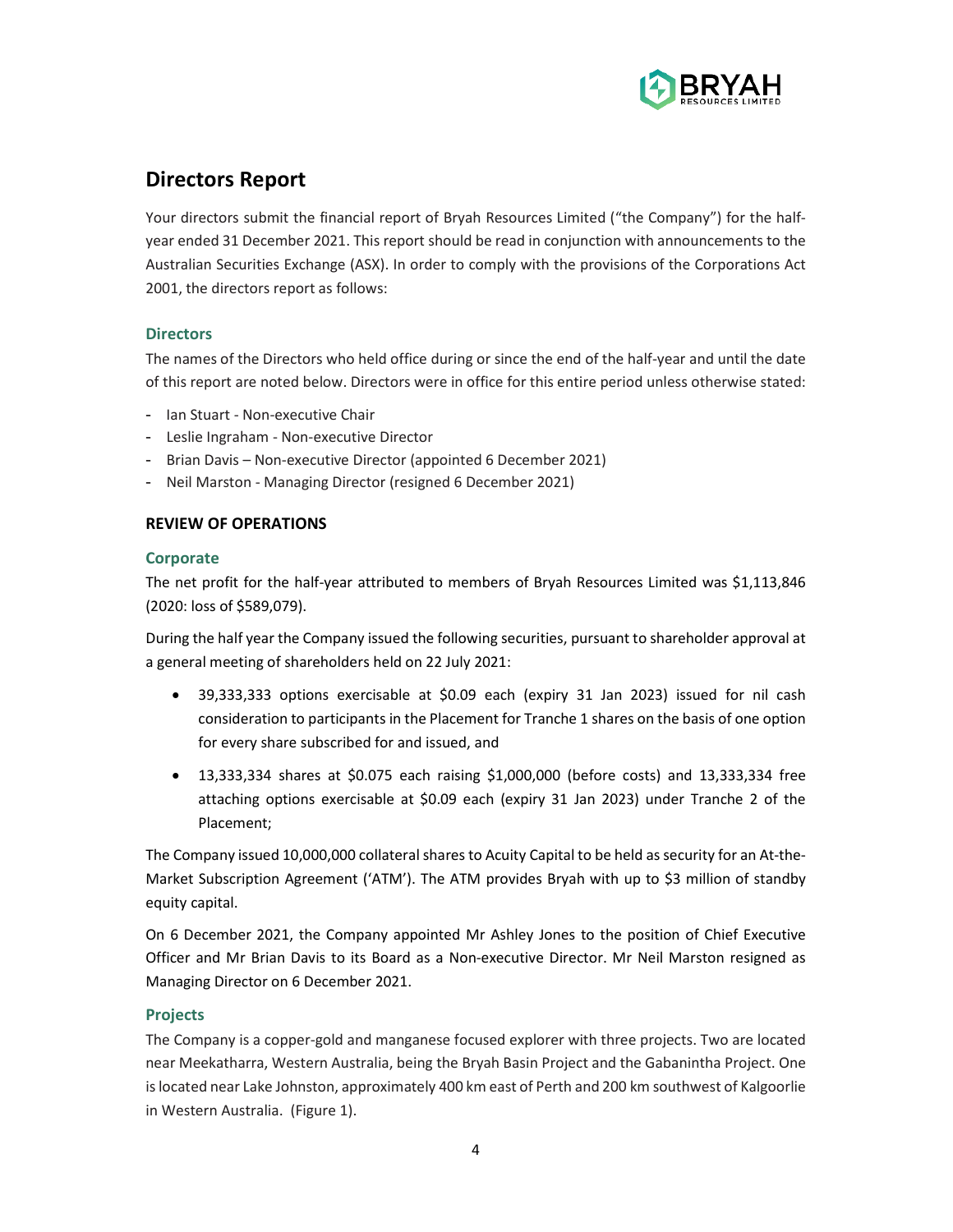

## **Directors Report**

Your directors submit the financial report of Bryah Resources Limited ("the Company") for the halfyear ended 31 December 2021. This report should be read in conjunction with announcements to the Australian Securities Exchange (ASX). In order to comply with the provisions of the Corporations Act 2001, the directors report as follows:

## **Directors**

The names of the Directors who held office during or since the end of the half-year and until the date of this report are noted below. Directors were in office for this entire period unless otherwise stated:

- Ian Stuart Non-executive Chair
- Leslie Ingraham Non-executive Director
- Brian Davis Non-executive Director (appointed 6 December 2021)
- Neil Marston Managing Director (resigned 6 December 2021)

## **REVIEW OF OPERATIONS**

## **Corporate**

The net profit for the half-year attributed to members of Bryah Resources Limited was \$1,113,846 (2020: loss of \$589,079).

During the half year the Company issued the following securities, pursuant to shareholder approval at a general meeting of shareholders held on 22 July 2021:

- 39,333,333 options exercisable at \$0.09 each (expiry 31 Jan 2023) issued for nil cash consideration to participants in the Placement for Tranche 1 shares on the basis of one option for every share subscribed for and issued, and
- 13,333,334 shares at \$0.075 each raising \$1,000,000 (before costs) and 13,333,334 free attaching options exercisable at \$0.09 each (expiry 31 Jan 2023) under Tranche 2 of the Placement;

The Company issued 10,000,000 collateral shares to Acuity Capital to be held as security for an At-the-Market Subscription Agreement ('ATM'). The ATM provides Bryah with up to \$3 million of standby equity capital.

On 6 December 2021, the Company appointed Mr Ashley Jones to the position of Chief Executive Officer and Mr Brian Davis to its Board as a Non-executive Director. Mr Neil Marston resigned as Managing Director on 6 December 2021.

## **Projects**

The Company is a copper-gold and manganese focused explorer with three projects. Two are located near Meekatharra, Western Australia, being the Bryah Basin Project and the Gabanintha Project. One is located near Lake Johnston, approximately 400 km east of Perth and 200 km southwest of Kalgoorlie in Western Australia. (Figure 1).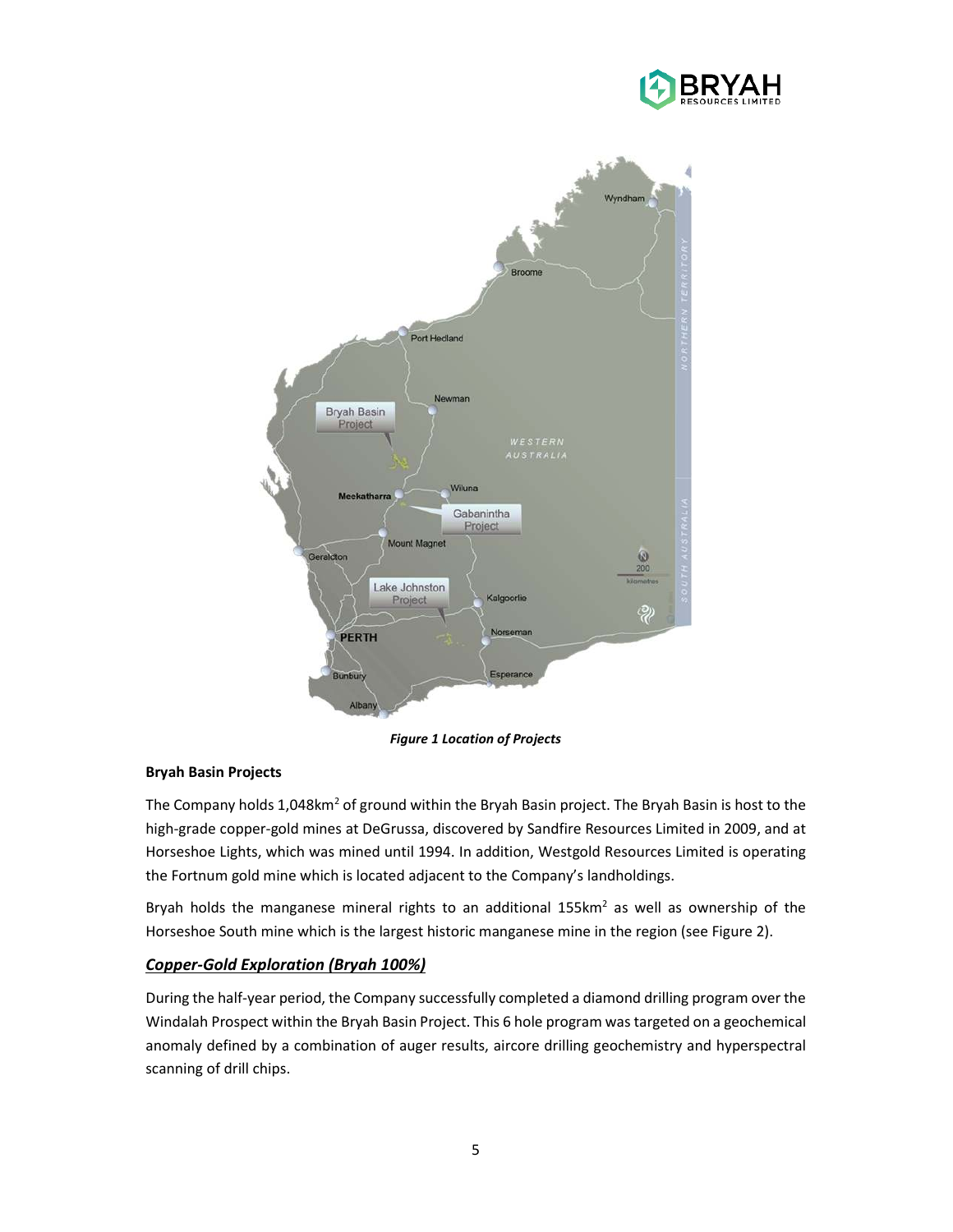



*Figure 1 Location of Projects* 

## **Bryah Basin Projects**

The Company holds 1,048km<sup>2</sup> of ground within the Bryah Basin project. The Bryah Basin is host to the high-grade copper-gold mines at DeGrussa, discovered by Sandfire Resources Limited in 2009, and at Horseshoe Lights, which was mined until 1994. In addition, Westgold Resources Limited is operating the Fortnum gold mine which is located adjacent to the Company's landholdings.

Bryah holds the manganese mineral rights to an additional  $155km^2$  as well as ownership of the Horseshoe South mine which is the largest historic manganese mine in the region (see Figure 2).

## *Copper-Gold Exploration (Bryah 100%)*

During the half-year period, the Company successfully completed a diamond drilling program over the Windalah Prospect within the Bryah Basin Project. This 6 hole program was targeted on a geochemical anomaly defined by a combination of auger results, aircore drilling geochemistry and hyperspectral scanning of drill chips.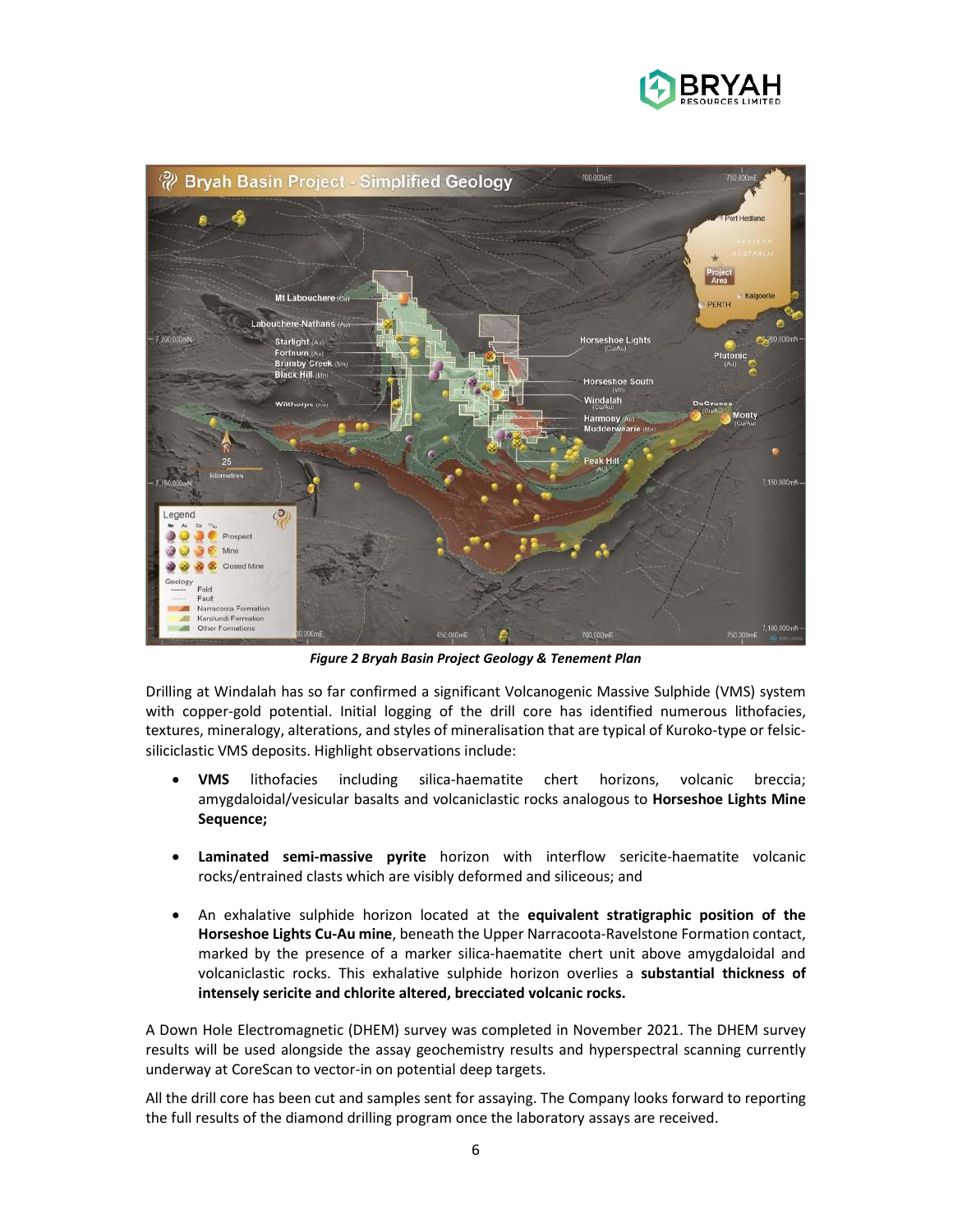



*Figure 2 Bryah Basin Project Geology & Tenement Plan* 

Drilling at Windalah has so far confirmed a significant Volcanogenic Massive Sulphide (VMS) system with copper-gold potential. Initial logging of the drill core has identified numerous lithofacies, textures, mineralogy, alterations, and styles of mineralisation that are typical of Kuroko-type or felsicsiliciclastic VMS deposits. Highlight observations include:

- **VMS** lithofacies including silica-haematite chert horizons, volcanic breccia; amygdaloidal/vesicular basalts and volcaniclastic rocks analogous to **Horseshoe Lights Mine Sequence;**
- **Laminated semi-massive pyrite** horizon with interflow sericite-haematite volcanic rocks/entrained clasts which are visibly deformed and siliceous; and
- An exhalative sulphide horizon located at the **equivalent stratigraphic position of the Horseshoe Lights Cu-Au mine**, beneath the Upper Narracoota-Ravelstone Formation contact, marked by the presence of a marker silica-haematite chert unit above amygdaloidal and volcaniclastic rocks. This exhalative sulphide horizon overlies a **substantial thickness of intensely sericite and chlorite altered, brecciated volcanic rocks.**

A Down Hole Electromagnetic (DHEM) survey was completed in November 2021. The DHEM survey results will be used alongside the assay geochemistry results and hyperspectral scanning currently underway at CoreScan to vector-in on potential deep targets.

All the drill core has been cut and samples sent for assaying. The Company looks forward to reporting the full results of the diamond drilling program once the laboratory assays are received.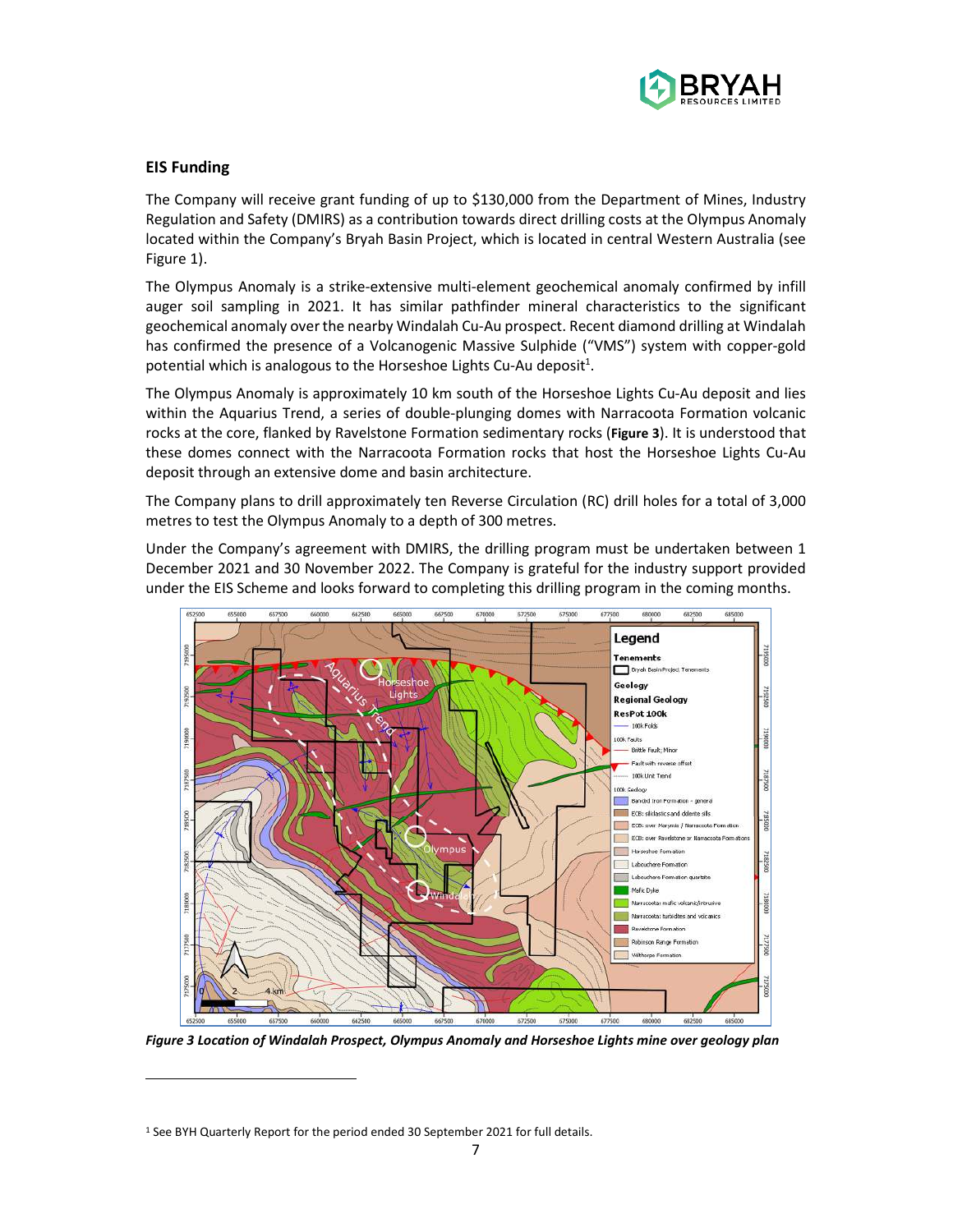

## **EIS Funding**

The Company will receive grant funding of up to \$130,000 from the Department of Mines, Industry Regulation and Safety (DMIRS) as a contribution towards direct drilling costs at the Olympus Anomaly located within the Company's Bryah Basin Project, which is located in central Western Australia (see Figure 1).

The Olympus Anomaly is a strike-extensive multi-element geochemical anomaly confirmed by infill auger soil sampling in 2021. It has similar pathfinder mineral characteristics to the significant geochemical anomaly over the nearby Windalah Cu-Au prospect. Recent diamond drilling at Windalah has confirmed the presence of a Volcanogenic Massive Sulphide ("VMS") system with copper-gold potential which is analogous to the Horseshoe Lights Cu-Au deposit $1$ .

The Olympus Anomaly is approximately 10 km south of the Horseshoe Lights Cu-Au deposit and lies within the Aquarius Trend, a series of double-plunging domes with Narracoota Formation volcanic rocks at the core, flanked by Ravelstone Formation sedimentary rocks (**Figure 3**). It is understood that these domes connect with the Narracoota Formation rocks that host the Horseshoe Lights Cu-Au deposit through an extensive dome and basin architecture.

The Company plans to drill approximately ten Reverse Circulation (RC) drill holes for a total of 3,000 metres to test the Olympus Anomaly to a depth of 300 metres.

Under the Company's agreement with DMIRS, the drilling program must be undertaken between 1 December 2021 and 30 November 2022. The Company is grateful for the industry support provided under the EIS Scheme and looks forward to completing this drilling program in the coming months.



*Figure 3 Location of Windalah Prospect, Olympus Anomaly and Horseshoe Lights mine over geology plan* 

<sup>&</sup>lt;sup>1</sup> See BYH Quarterly Report for the period ended 30 September 2021 for full details.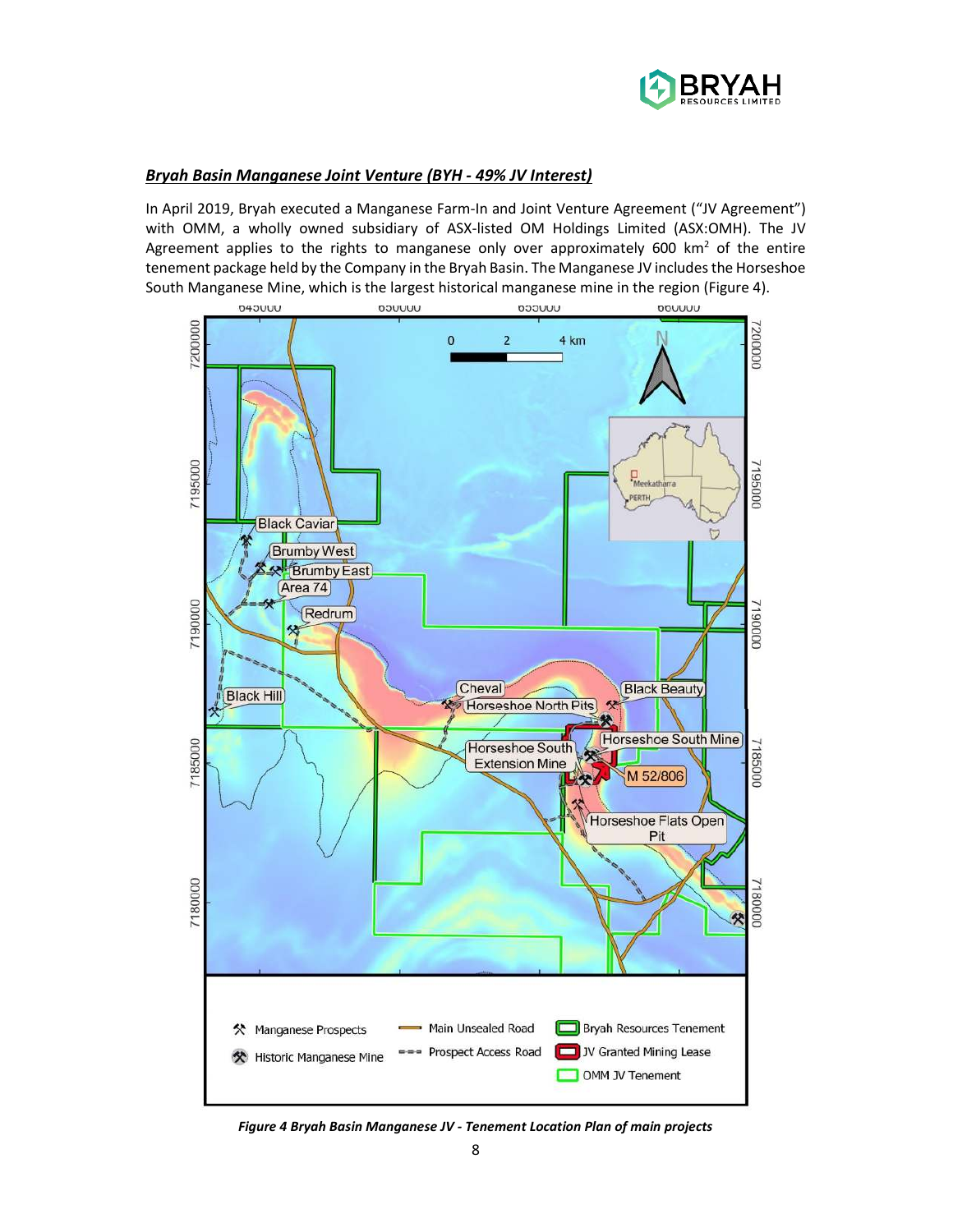

## *Bryah Basin Manganese Joint Venture (BYH - 49% JV Interest)*

In April 2019, Bryah executed a Manganese Farm-In and Joint Venture Agreement ("JV Agreement") with OMM, a wholly owned subsidiary of ASX-listed OM Holdings Limited (ASX:OMH). The JV Agreement applies to the rights to manganese only over approximately 600  $km^2$  of the entire tenement package held by the Company in the Bryah Basin. The Manganese JV includes the Horseshoe South Manganese Mine, which is the largest historical manganese mine in the region (Figure 4).



*Figure 4 Bryah Basin Manganese JV - Tenement Location Plan of main projects*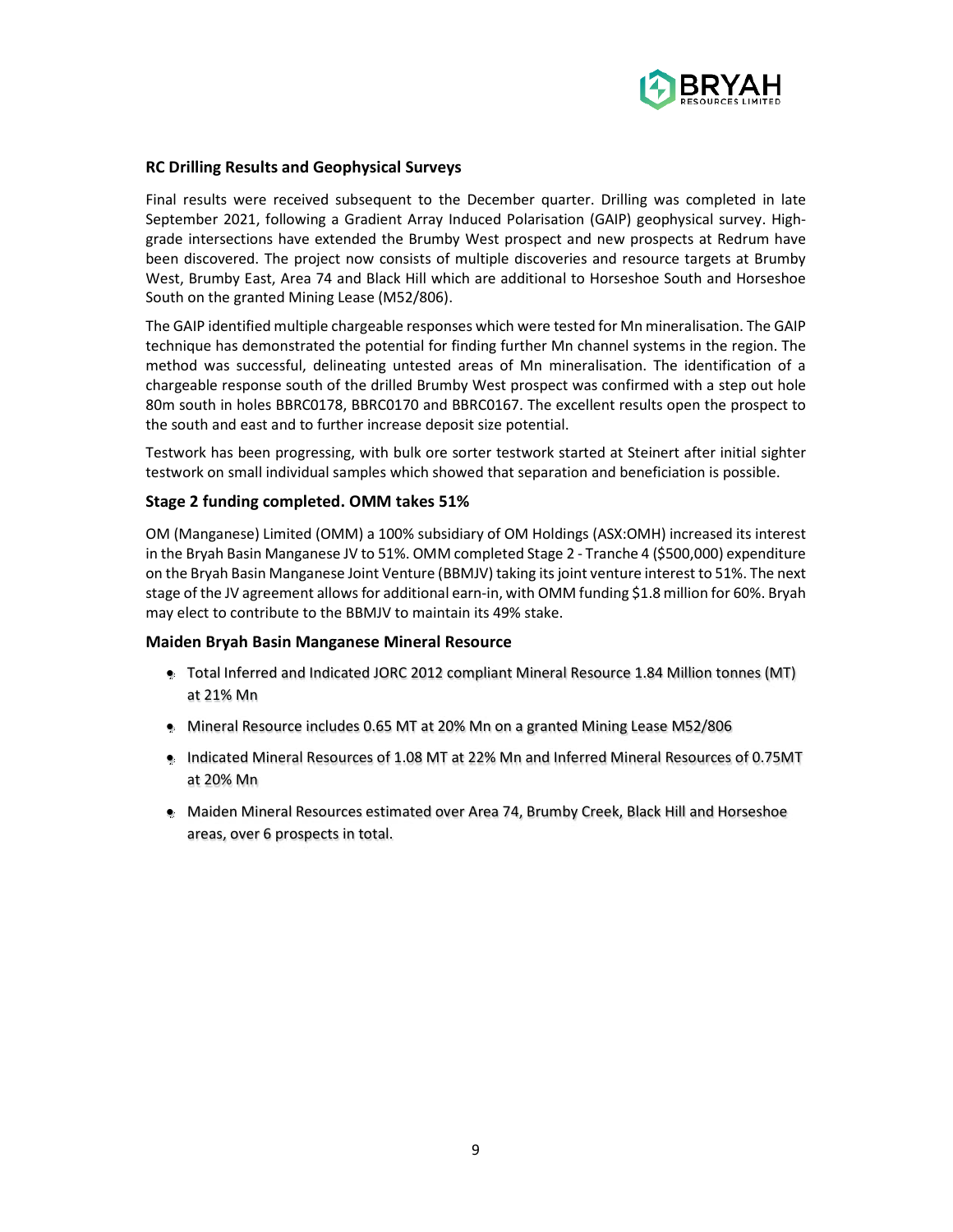

## **RC Drilling Results and Geophysical Surveys**

Final results were received subsequent to the December quarter. Drilling was completed in late September 2021, following a Gradient Array Induced Polarisation (GAIP) geophysical survey. Highgrade intersections have extended the Brumby West prospect and new prospects at Redrum have been discovered. The project now consists of multiple discoveries and resource targets at Brumby West, Brumby East, Area 74 and Black Hill which are additional to Horseshoe South and Horseshoe South on the granted Mining Lease (M52/806).

The GAIP identified multiple chargeable responses which were tested for Mn mineralisation. The GAIP technique has demonstrated the potential for finding further Mn channel systems in the region. The method was successful, delineating untested areas of Mn mineralisation. The identification of a chargeable response south of the drilled Brumby West prospect was confirmed with a step out hole 80m south in holes BBRC0178, BBRC0170 and BBRC0167. The excellent results open the prospect to the south and east and to further increase deposit size potential.

Testwork has been progressing, with bulk ore sorter testwork started at Steinert after initial sighter testwork on small individual samples which showed that separation and beneficiation is possible.

## **Stage 2 funding completed. OMM takes 51%**

OM (Manganese) Limited (OMM) a 100% subsidiary of OM Holdings (ASX:OMH) increased its interest in the Bryah Basin Manganese JV to 51%. OMM completed Stage 2 - Tranche 4 (\$500,000) expenditure on the Bryah Basin Manganese Joint Venture (BBMJV) taking its joint venture interest to 51%. The next stage of the JV agreement allows for additional earn-in, with OMM funding \$1.8 million for 60%. Bryah may elect to contribute to the BBMJV to maintain its 49% stake.

#### **Maiden Bryah Basin Manganese Mineral Resource**

- Total Inferred and Indicated JORC 2012 compliant Mineral Resource 1.84 Million tonnes (MT) at 21% Mn
- **Mineral Resource includes 0.65 MT at 20% Mn on a granted Mining Lease M52/806**
- Indicated Mineral Resources of 1.08 MT at 22% Mn and Inferred Mineral Resources of 0.75MT at 20% Mn
- Maiden Mineral Resources estimated over Area 74, Brumby Creek, Black Hill and Horseshoe areas, over 6 prospects in total.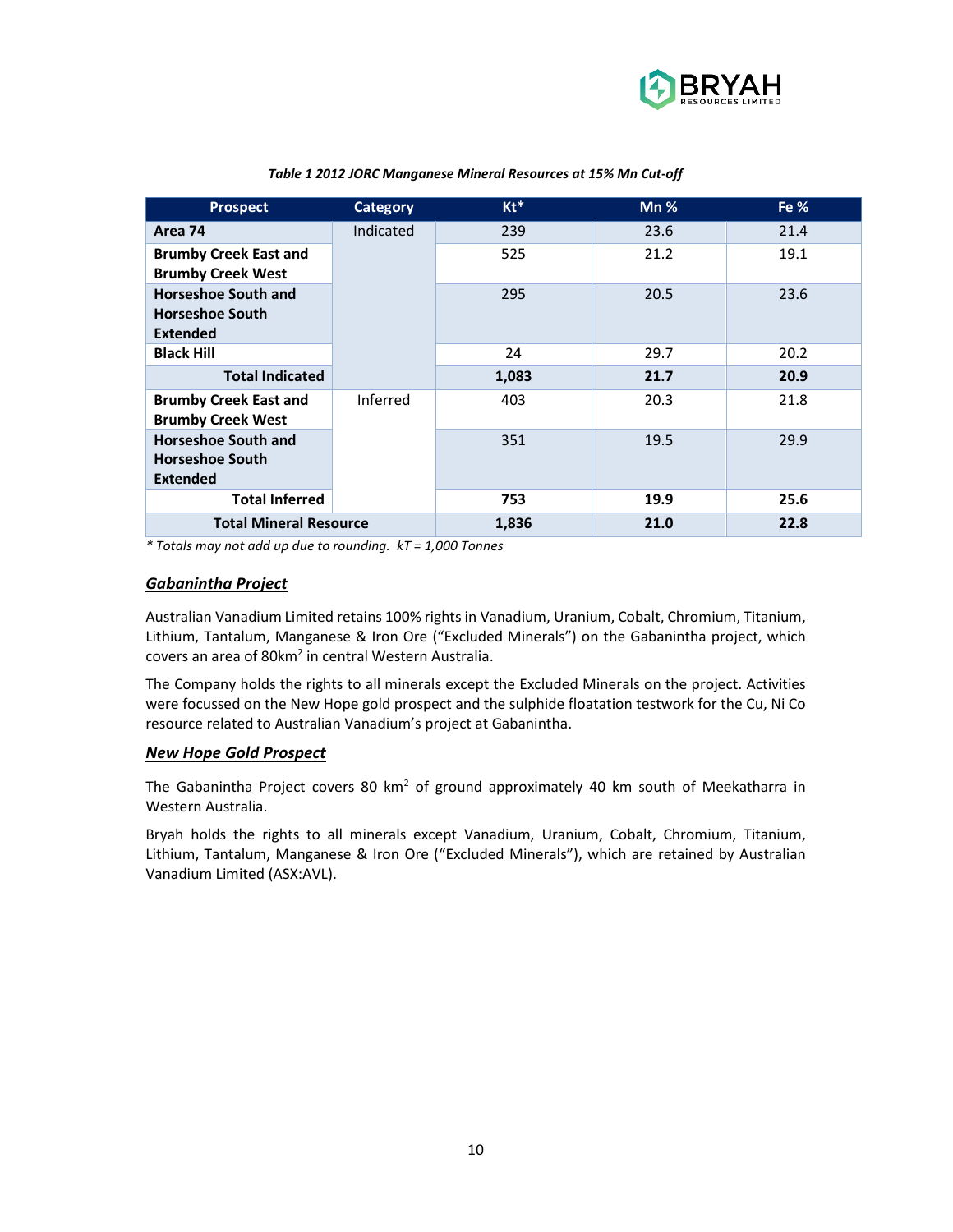

| <b>Prospect</b>                                                         | <b>Category</b> | $Kt^*$ | $Mn$ % | Fe $%$ |
|-------------------------------------------------------------------------|-----------------|--------|--------|--------|
| Area 74                                                                 | Indicated       | 239    | 23.6   | 21.4   |
| <b>Brumby Creek East and</b><br><b>Brumby Creek West</b>                |                 | 525    | 21.2   | 19.1   |
| <b>Horseshoe South and</b><br><b>Horseshoe South</b><br><b>Extended</b> |                 | 295    | 20.5   | 23.6   |
| <b>Black Hill</b>                                                       |                 | 24     | 29.7   | 20.2   |
| <b>Total Indicated</b>                                                  |                 | 1,083  | 21.7   | 20.9   |
| <b>Brumby Creek East and</b><br><b>Brumby Creek West</b>                | Inferred        | 403    | 20.3   | 21.8   |
| <b>Horseshoe South and</b><br><b>Horseshoe South</b><br><b>Extended</b> |                 | 351    | 19.5   | 29.9   |
| <b>Total Inferred</b>                                                   |                 | 753    | 19.9   | 25.6   |
| <b>Total Mineral Resource</b>                                           |                 | 1,836  | 21.0   | 22.8   |

#### *Table 1 2012 JORC Manganese Mineral Resources at 15% Mn Cut-off*

*\* Totals may not add up due to rounding. kT = 1,000 Tonnes* 

#### *Gabanintha Project*

Australian Vanadium Limited retains 100% rights in Vanadium, Uranium, Cobalt, Chromium, Titanium, Lithium, Tantalum, Manganese & Iron Ore ("Excluded Minerals") on the Gabanintha project, which covers an area of 80km<sup>2</sup> in central Western Australia.

The Company holds the rights to all minerals except the Excluded Minerals on the project. Activities were focussed on the New Hope gold prospect and the sulphide floatation testwork for the Cu, Ni Co resource related to Australian Vanadium's project at Gabanintha.

## *New Hope Gold Prospect*

The Gabanintha Project covers 80 km<sup>2</sup> of ground approximately 40 km south of Meekatharra in Western Australia.

Bryah holds the rights to all minerals except Vanadium, Uranium, Cobalt, Chromium, Titanium, Lithium, Tantalum, Manganese & Iron Ore ("Excluded Minerals"), which are retained by Australian Vanadium Limited (ASX:AVL).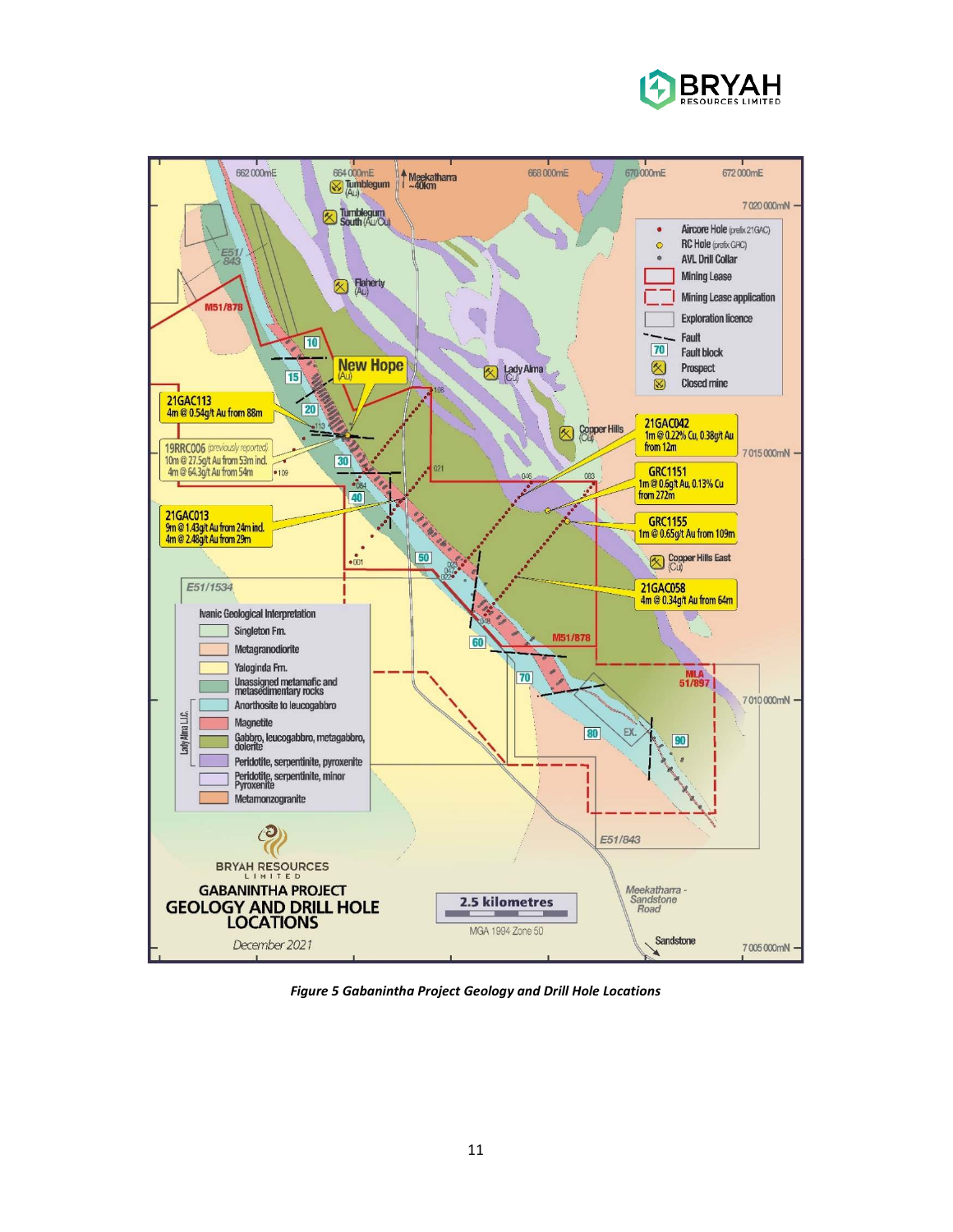



*Figure 5 Gabanintha Project Geology and Drill Hole Locations*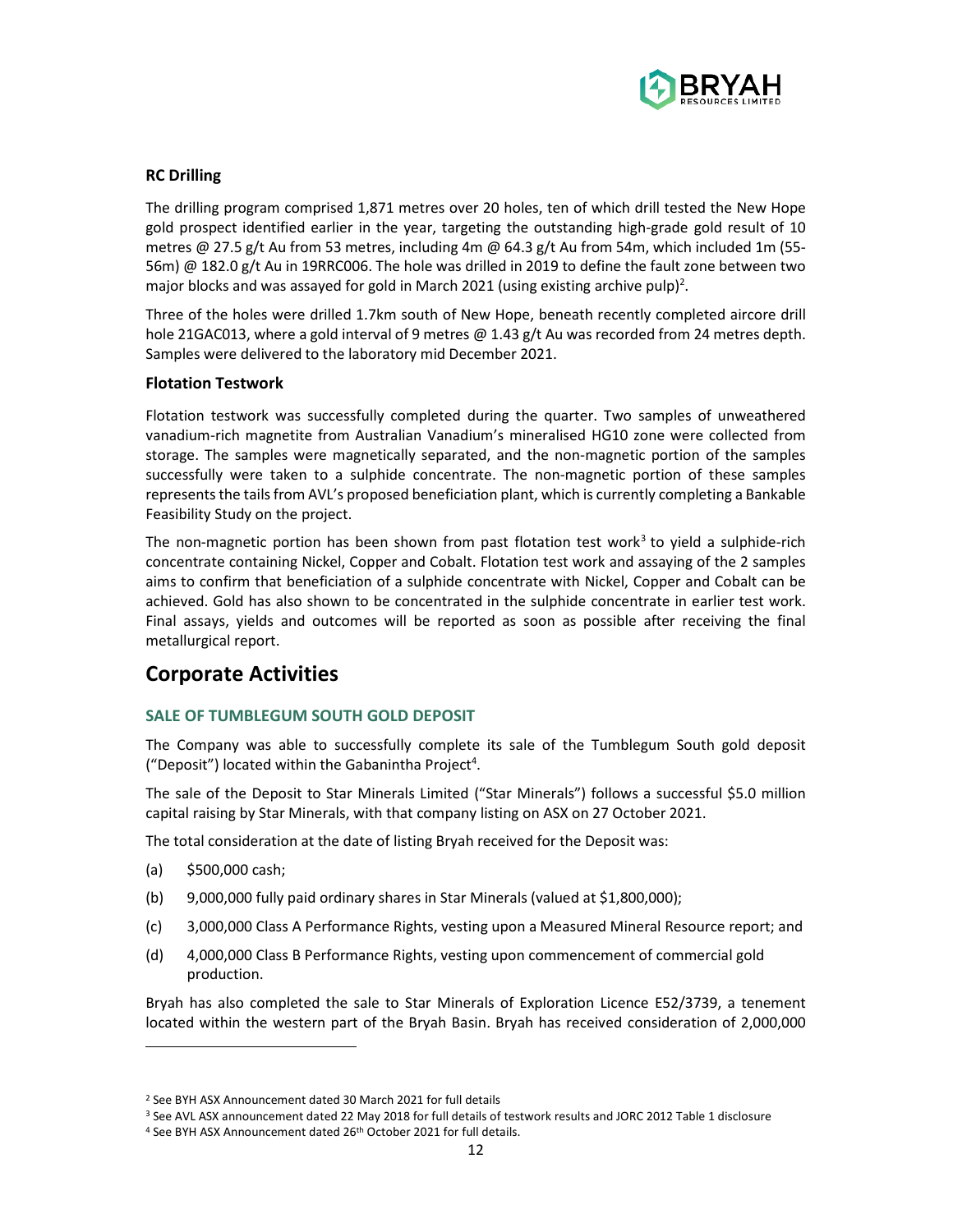

## **RC Drilling**

The drilling program comprised 1,871 metres over 20 holes, ten of which drill tested the New Hope gold prospect identified earlier in the year, targeting the outstanding high-grade gold result of 10 metres @ 27.5 g/t Au from 53 metres, including 4m @ 64.3 g/t Au from 54m, which included 1m (55- 56m) @ 182.0 g/t Au in 19RRC006. The hole was drilled in 2019 to define the fault zone between two major blocks and was assayed for gold in March 2021 (using existing archive pulp)<sup>2</sup>.

Three of the holes were drilled 1.7km south of New Hope, beneath recently completed aircore drill hole 21GAC013, where a gold interval of 9 metres @ 1.43 g/t Au was recorded from 24 metres depth. Samples were delivered to the laboratory mid December 2021.

## **Flotation Testwork**

Flotation testwork was successfully completed during the quarter. Two samples of unweathered vanadium-rich magnetite from Australian Vanadium's mineralised HG10 zone were collected from storage. The samples were magnetically separated, and the non-magnetic portion of the samples successfully were taken to a sulphide concentrate. The non-magnetic portion of these samples represents the tails from AVL's proposed beneficiation plant, which is currently completing a Bankable Feasibility Study on the project.

The non-magnetic portion has been shown from past flotation test work<sup>3</sup> to yield a sulphide-rich concentrate containing Nickel, Copper and Cobalt. Flotation test work and assaying of the 2 samples aims to confirm that beneficiation of a sulphide concentrate with Nickel, Copper and Cobalt can be achieved. Gold has also shown to be concentrated in the sulphide concentrate in earlier test work. Final assays, yields and outcomes will be reported as soon as possible after receiving the final metallurgical report.

## **Corporate Activities**

## **SALE OF TUMBLEGUM SOUTH GOLD DEPOSIT**

The Company was able to successfully complete its sale of the Tumblegum South gold deposit ("Deposit") located within the Gabanintha Project<sup>4</sup>.

The sale of the Deposit to Star Minerals Limited ("Star Minerals") follows a successful \$5.0 million capital raising by Star Minerals, with that company listing on ASX on 27 October 2021.

The total consideration at the date of listing Bryah received for the Deposit was:

- (a) \$500,000 cash;
- (b) 9,000,000 fully paid ordinary shares in Star Minerals (valued at \$1,800,000);
- (c) 3,000,000 Class A Performance Rights, vesting upon a Measured Mineral Resource report; and
- (d) 4,000,000 Class B Performance Rights, vesting upon commencement of commercial gold production.

Bryah has also completed the sale to Star Minerals of Exploration Licence E52/3739, a tenement located within the western part of the Bryah Basin. Bryah has received consideration of 2,000,000

<sup>2</sup> See BYH ASX Announcement dated 30 March 2021 for full details

<sup>&</sup>lt;sup>3</sup> See AVL ASX announcement dated 22 May 2018 for full details of testwork results and JORC 2012 Table 1 disclosure <sup>4</sup> See BYH ASX Announcement dated 26<sup>th</sup> October 2021 for full details.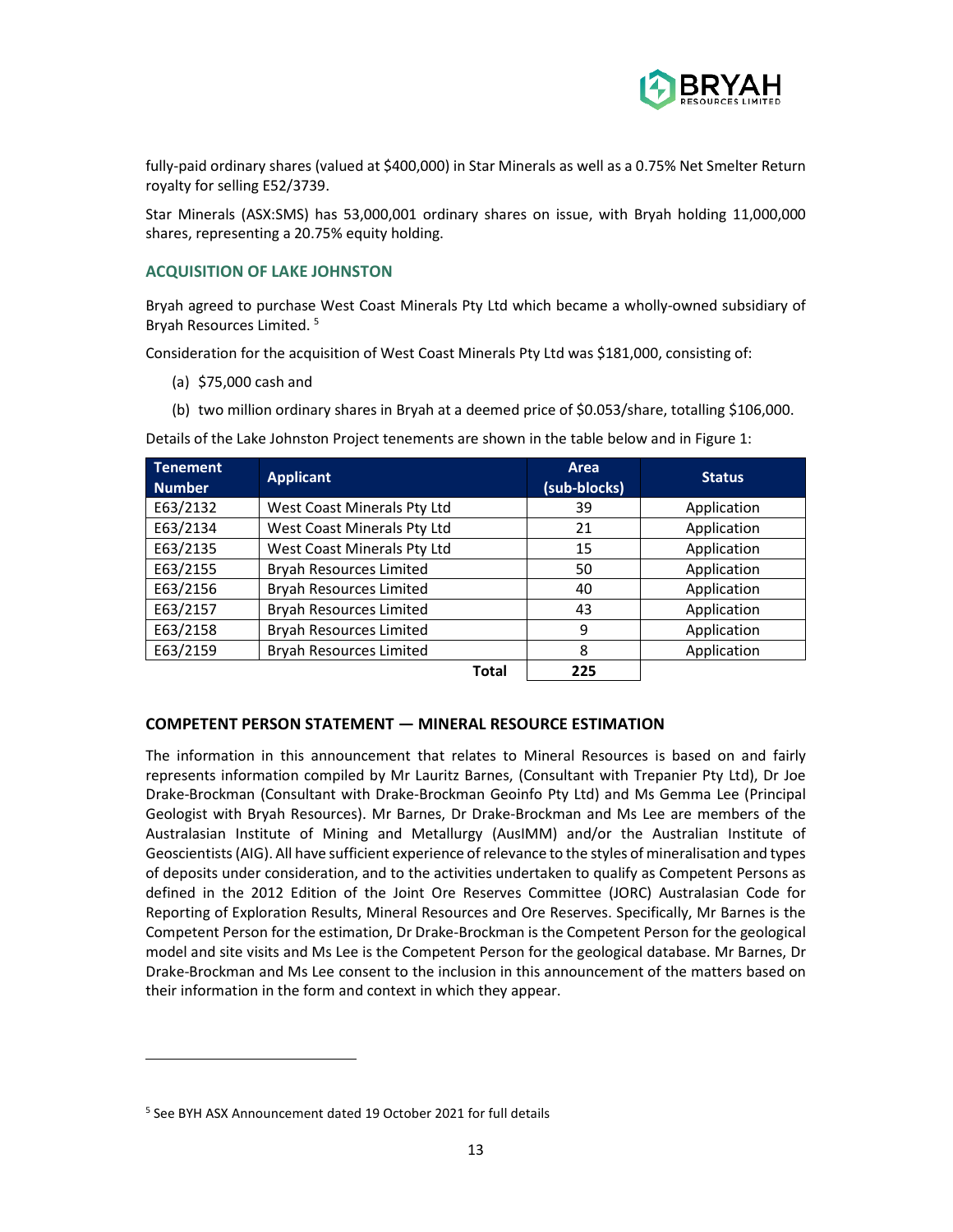

fully-paid ordinary shares (valued at \$400,000) in Star Minerals as well as a 0.75% Net Smelter Return royalty for selling E52/3739.

Star Minerals (ASX:SMS) has 53,000,001 ordinary shares on issue, with Bryah holding 11,000,000 shares, representing a 20.75% equity holding.

## **ACQUISITION OF LAKE JOHNSTON**

Bryah agreed to purchase West Coast Minerals Pty Ltd which became a wholly-owned subsidiary of Bryah Resources Limited.<sup>5</sup>

Consideration for the acquisition of West Coast Minerals Pty Ltd was \$181,000, consisting of:

- (a) \$75,000 cash and
- (b) two million ordinary shares in Bryah at a deemed price of \$0.053/share, totalling \$106,000.

Details of the Lake Johnston Project tenements are shown in the table below and in Figure 1:

| <b>Tenement</b><br><b>Number</b> | <b>Applicant</b>               | Area<br>(sub-blocks) | <b>Status</b> |
|----------------------------------|--------------------------------|----------------------|---------------|
| E63/2132                         | West Coast Minerals Pty Ltd    | 39                   | Application   |
| E63/2134                         | West Coast Minerals Pty Ltd    | 21                   | Application   |
| E63/2135                         | West Coast Minerals Pty Ltd    | 15                   | Application   |
| E63/2155                         | <b>Bryah Resources Limited</b> | 50                   | Application   |
| E63/2156                         | <b>Bryah Resources Limited</b> | 40                   | Application   |
| E63/2157                         | <b>Bryah Resources Limited</b> | 43                   | Application   |
| E63/2158                         | <b>Bryah Resources Limited</b> | 9                    | Application   |
| E63/2159                         | <b>Bryah Resources Limited</b> | 8                    | Application   |
|                                  | <b>Total</b>                   | 225                  |               |

# **COMPETENT PERSON STATEMENT — MINERAL RESOURCE ESTIMATION**

The information in this announcement that relates to Mineral Resources is based on and fairly represents information compiled by Mr Lauritz Barnes, (Consultant with Trepanier Pty Ltd), Dr Joe Drake-Brockman (Consultant with Drake-Brockman Geoinfo Pty Ltd) and Ms Gemma Lee (Principal Geologist with Bryah Resources). Mr Barnes, Dr Drake-Brockman and Ms Lee are members of the Australasian Institute of Mining and Metallurgy (AusIMM) and/or the Australian Institute of Geoscientists (AIG). All have sufficient experience of relevance to the styles of mineralisation and types of deposits under consideration, and to the activities undertaken to qualify as Competent Persons as defined in the 2012 Edition of the Joint Ore Reserves Committee (JORC) Australasian Code for Reporting of Exploration Results, Mineral Resources and Ore Reserves. Specifically, Mr Barnes is the Competent Person for the estimation, Dr Drake-Brockman is the Competent Person for the geological model and site visits and Ms Lee is the Competent Person for the geological database. Mr Barnes, Dr Drake-Brockman and Ms Lee consent to the inclusion in this announcement of the matters based on their information in the form and context in which they appear.

<sup>&</sup>lt;sup>5</sup> See BYH ASX Announcement dated 19 October 2021 for full details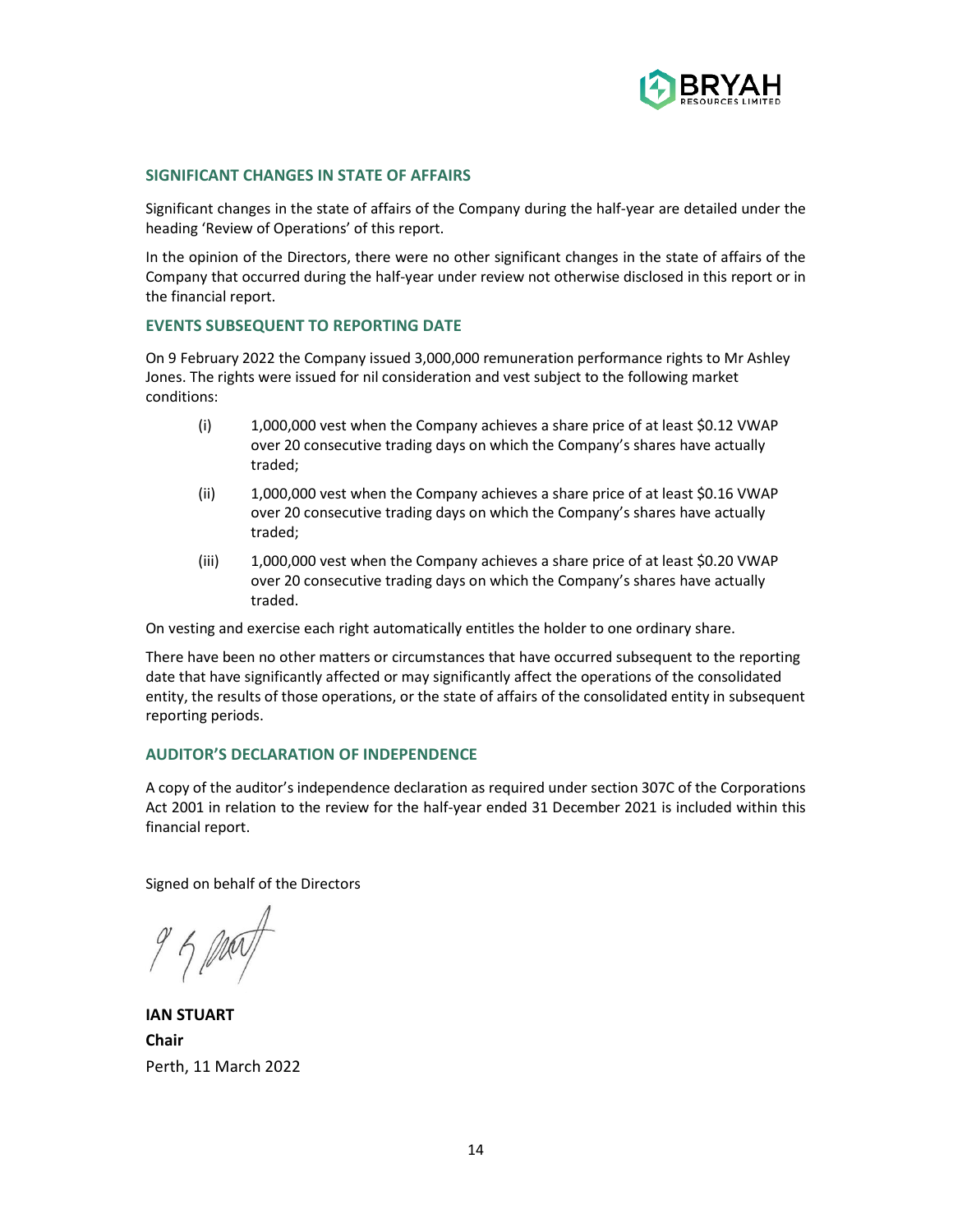

## **SIGNIFICANT CHANGES IN STATE OF AFFAIRS**

Significant changes in the state of affairs of the Company during the half-year are detailed under the heading 'Review of Operations' of this report.

In the opinion of the Directors, there were no other significant changes in the state of affairs of the Company that occurred during the half-year under review not otherwise disclosed in this report or in the financial report.

## **EVENTS SUBSEQUENT TO REPORTING DATE**

On 9 February 2022 the Company issued 3,000,000 remuneration performance rights to Mr Ashley Jones. The rights were issued for nil consideration and vest subject to the following market conditions:

- (i) 1,000,000 vest when the Company achieves a share price of at least \$0.12 VWAP over 20 consecutive trading days on which the Company's shares have actually traded;
- (ii) 1,000,000 vest when the Company achieves a share price of at least \$0.16 VWAP over 20 consecutive trading days on which the Company's shares have actually traded;
- (iii) 1,000,000 vest when the Company achieves a share price of at least \$0.20 VWAP over 20 consecutive trading days on which the Company's shares have actually traded.

On vesting and exercise each right automatically entitles the holder to one ordinary share.

There have been no other matters or circumstances that have occurred subsequent to the reporting date that have significantly affected or may significantly affect the operations of the consolidated entity, the results of those operations, or the state of affairs of the consolidated entity in subsequent reporting periods.

## **AUDITOR'S DECLARATION OF INDEPENDENCE**

A copy of the auditor's independence declaration as required under section 307C of the Corporations Act 2001 in relation to the review for the half-year ended 31 December 2021 is included within this financial report.

Signed on behalf of the Directors

**IAN STUART Chair**  Perth, 11 March 2022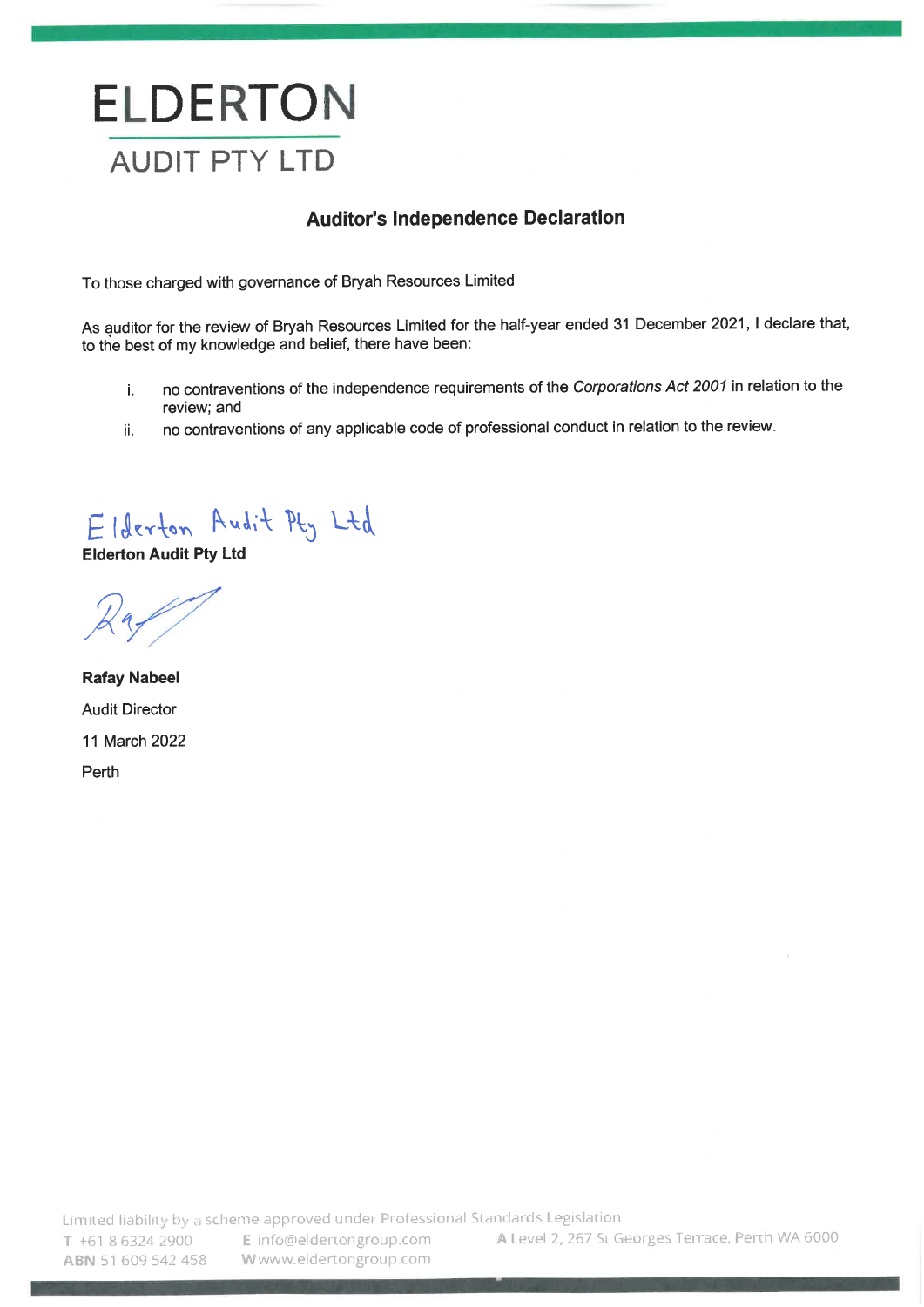# **ELDERTON AUDIT PTY LTD**

## **Auditor's Independence Declaration**

To those charged with governance of Bryah Resources Limited

As auditor for the review of Bryah Resources Limited for the half-year ended 31 December 2021, I declare that, to the best of my knowledge and belief, there have been:

- no contraventions of the independence requirements of the Corporations Act 2001 in relation to the i. review; and
- no contraventions of any applicable code of professional conduct in relation to the review. ii.

Elderton Audit Pty Ltd

**Elderton Audit Pty Ltd** 

**Rafay Nabeel Audit Director** 11 March 2022 Perth

Limited liability by a scheme approved under Professional Standards Legislation

ABN 51 609 542 458

T +61 8 6324 2900 E info@eldertongroup.com Wwww.eldertongroup.com

A Level 2, 267 St Georges Terrace, Perth WA 6000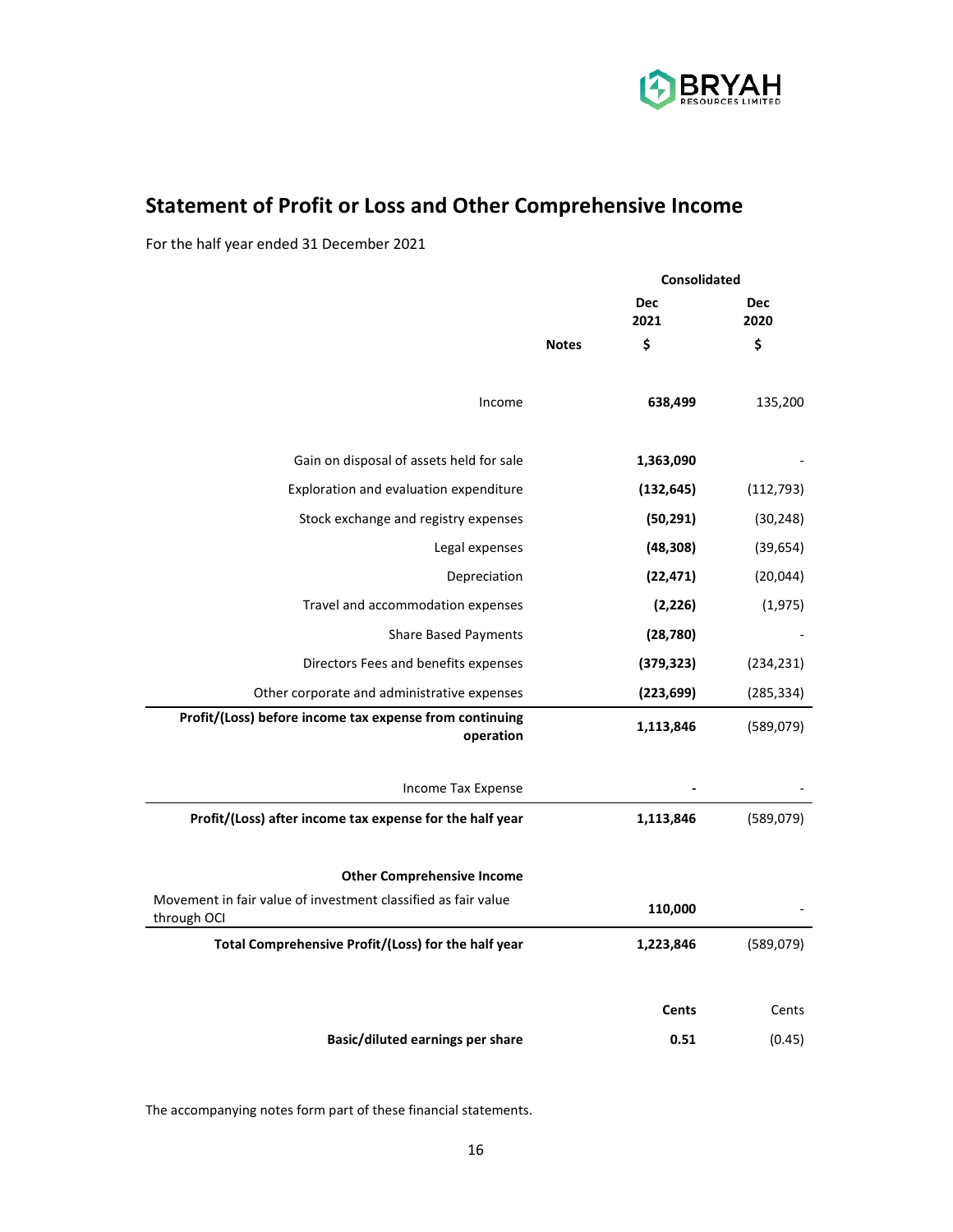

# **Statement of Profit or Loss and Other Comprehensive Income**

For the half year ended 31 December 2021

| <b>Consolidated</b> |                    |                    |
|---------------------|--------------------|--------------------|
|                     | <b>Dec</b><br>2021 | <b>Dec</b><br>2020 |
| <b>Notes</b>        | \$                 | \$                 |
|                     | 638,499            | 135,200            |
|                     | 1,363,090          |                    |
|                     | (132, 645)         | (112, 793)         |
|                     | (50, 291)          | (30, 248)          |
|                     | (48, 308)          | (39, 654)          |
|                     | (22, 471)          | (20, 044)          |
|                     | (2, 226)           | (1,975)            |
|                     | (28, 780)          |                    |
|                     | (379, 323)         | (234, 231)         |
|                     | (223, 699)         | (285, 334)         |
|                     | 1,113,846          | (589,079)          |
|                     |                    |                    |
|                     | 1,113,846          | (589,079)          |
|                     |                    |                    |
|                     | 110,000            |                    |
|                     | 1,223,846          | (589,079)          |
|                     | <b>Cents</b>       | Cents              |
|                     | 0.51               | (0.45)             |
|                     |                    |                    |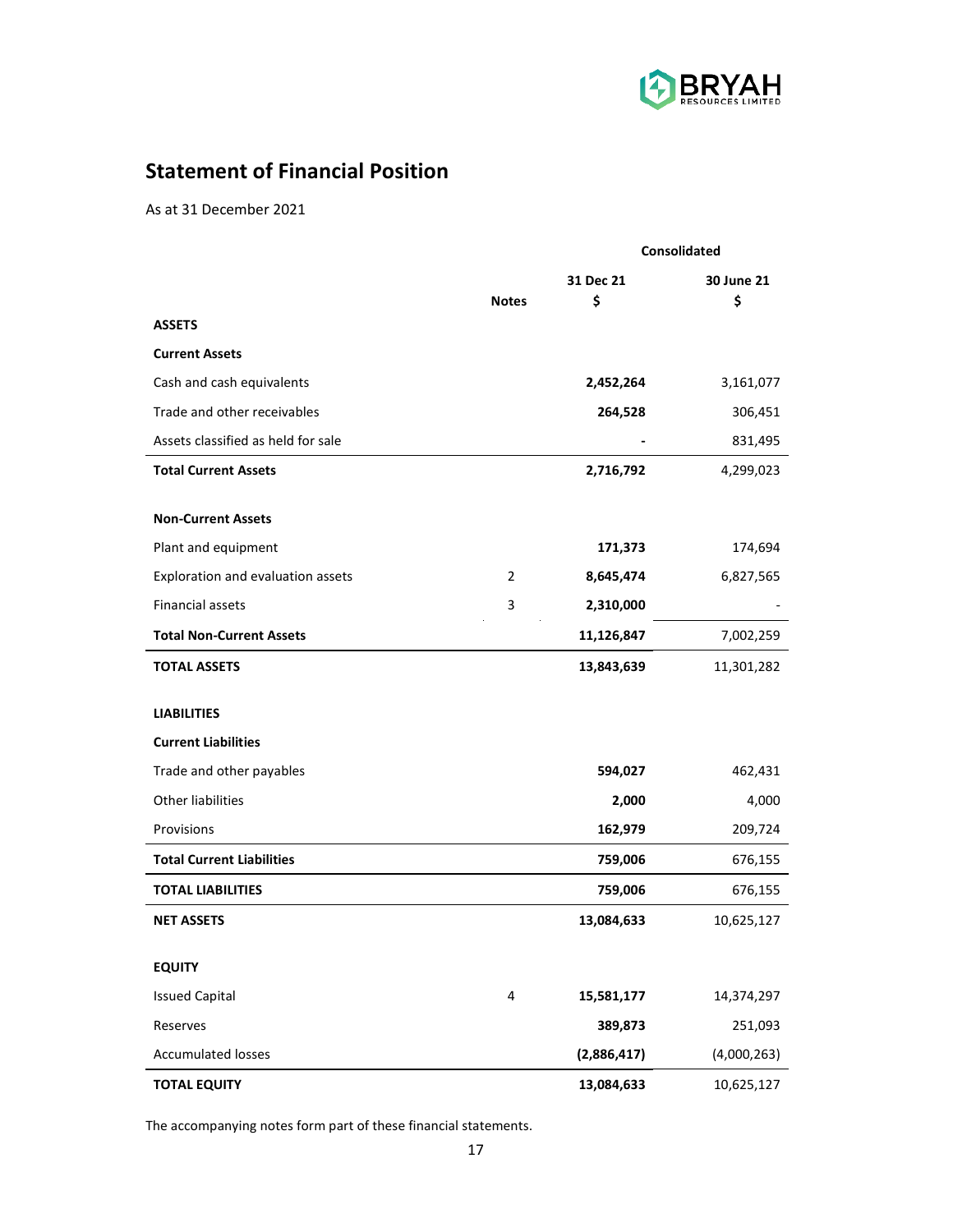

## **Statement of Financial Position**

As at 31 December 2021

|                                    |                | Consolidated |             |  |  |
|------------------------------------|----------------|--------------|-------------|--|--|
|                                    |                | 31 Dec 21    | 30 June 21  |  |  |
|                                    | <b>Notes</b>   | \$           | \$          |  |  |
| <b>ASSETS</b>                      |                |              |             |  |  |
| <b>Current Assets</b>              |                |              |             |  |  |
| Cash and cash equivalents          |                | 2,452,264    | 3,161,077   |  |  |
| Trade and other receivables        |                | 264,528      | 306,451     |  |  |
| Assets classified as held for sale |                |              | 831,495     |  |  |
| <b>Total Current Assets</b>        |                | 2,716,792    | 4,299,023   |  |  |
| <b>Non-Current Assets</b>          |                |              |             |  |  |
| Plant and equipment                |                | 171,373      | 174,694     |  |  |
| Exploration and evaluation assets  | $\overline{2}$ | 8,645,474    | 6,827,565   |  |  |
| <b>Financial assets</b>            | 3              | 2,310,000    |             |  |  |
| <b>Total Non-Current Assets</b>    |                | 11,126,847   | 7,002,259   |  |  |
| <b>TOTAL ASSETS</b>                |                | 13,843,639   | 11,301,282  |  |  |
| <b>LIABILITIES</b>                 |                |              |             |  |  |
| <b>Current Liabilities</b>         |                |              |             |  |  |
| Trade and other payables           |                | 594,027      | 462,431     |  |  |
| Other liabilities                  |                | 2,000        | 4,000       |  |  |
| Provisions                         |                | 162,979      | 209,724     |  |  |
| <b>Total Current Liabilities</b>   |                | 759,006      | 676,155     |  |  |
| <b>TOTAL LIABILITIES</b>           |                | 759,006      | 676,155     |  |  |
| <b>NET ASSETS</b>                  |                | 13,084,633   | 10,625,127  |  |  |
| <b>EQUITY</b>                      |                |              |             |  |  |
| <b>Issued Capital</b>              | 4              | 15,581,177   | 14,374,297  |  |  |
| Reserves                           |                | 389,873      | 251,093     |  |  |
| <b>Accumulated losses</b>          |                | (2,886,417)  | (4,000,263) |  |  |
| <b>TOTAL EQUITY</b>                |                | 13,084,633   | 10,625,127  |  |  |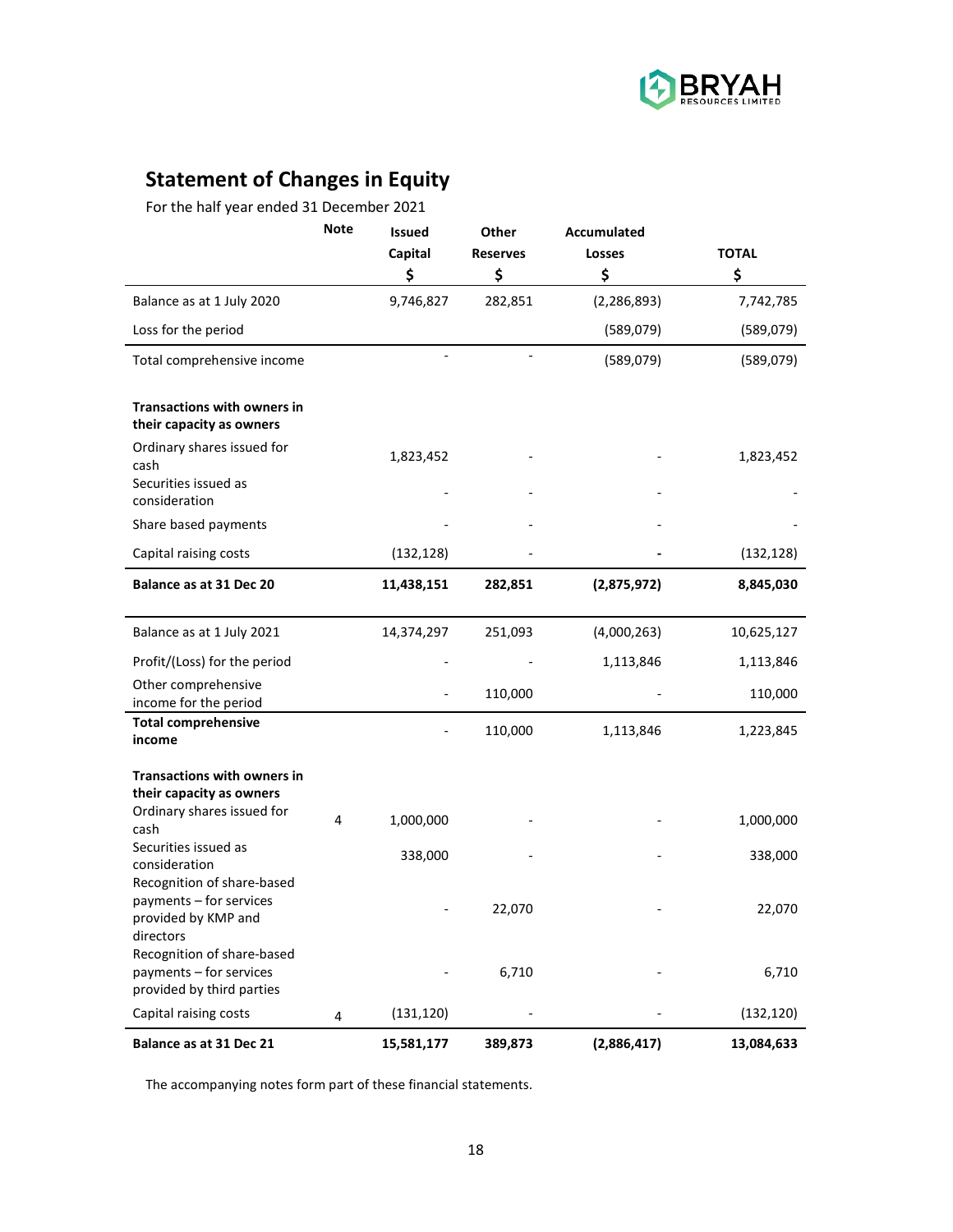

# **Statement of Changes in Equity**

For the half year ended 31 December 2021

|                                                                                              | <b>Note</b> | <b>Issued</b><br>Capital | <b>Other</b><br><b>Reserves</b> | <b>Accumulated</b><br>Losses | <b>TOTAL</b> |
|----------------------------------------------------------------------------------------------|-------------|--------------------------|---------------------------------|------------------------------|--------------|
|                                                                                              |             | \$                       | \$                              | \$                           | \$           |
| Balance as at 1 July 2020                                                                    |             | 9,746,827                | 282,851                         | (2, 286, 893)                | 7,742,785    |
| Loss for the period                                                                          |             |                          |                                 | (589,079)                    | (589, 079)   |
| Total comprehensive income                                                                   |             |                          |                                 | (589,079)                    | (589, 079)   |
| <b>Transactions with owners in</b><br>their capacity as owners                               |             |                          |                                 |                              |              |
| Ordinary shares issued for<br>cash<br>Securities issued as<br>consideration                  |             | 1,823,452                |                                 |                              | 1,823,452    |
| Share based payments                                                                         |             |                          |                                 |                              |              |
| Capital raising costs                                                                        |             | (132, 128)               |                                 |                              | (132, 128)   |
| Balance as at 31 Dec 20                                                                      |             | 11,438,151               | 282,851                         | (2,875,972)                  | 8,845,030    |
| Balance as at 1 July 2021                                                                    |             | 14,374,297               | 251,093                         | (4,000,263)                  | 10,625,127   |
| Profit/(Loss) for the period                                                                 |             |                          |                                 | 1,113,846                    | 1,113,846    |
| Other comprehensive<br>income for the period                                                 |             |                          | 110,000                         |                              | 110,000      |
| <b>Total comprehensive</b><br>income                                                         |             |                          | 110,000                         | 1,113,846                    | 1,223,845    |
| <b>Transactions with owners in</b><br>their capacity as owners<br>Ordinary shares issued for |             |                          |                                 |                              |              |
| cash                                                                                         | 4           | 1,000,000                |                                 |                              | 1,000,000    |
| Securities issued as<br>consideration<br>Recognition of share-based                          |             | 338,000                  |                                 |                              | 338,000      |
| payments - for services<br>provided by KMP and<br>directors                                  |             |                          | 22,070                          |                              | 22,070       |
| Recognition of share-based<br>payments - for services<br>provided by third parties           |             |                          | 6,710                           |                              | 6,710        |
| Capital raising costs                                                                        | 4           | (131, 120)               |                                 |                              | (132, 120)   |
| Balance as at 31 Dec 21                                                                      |             | 15,581,177               | 389,873                         | (2,886,417)                  | 13,084,633   |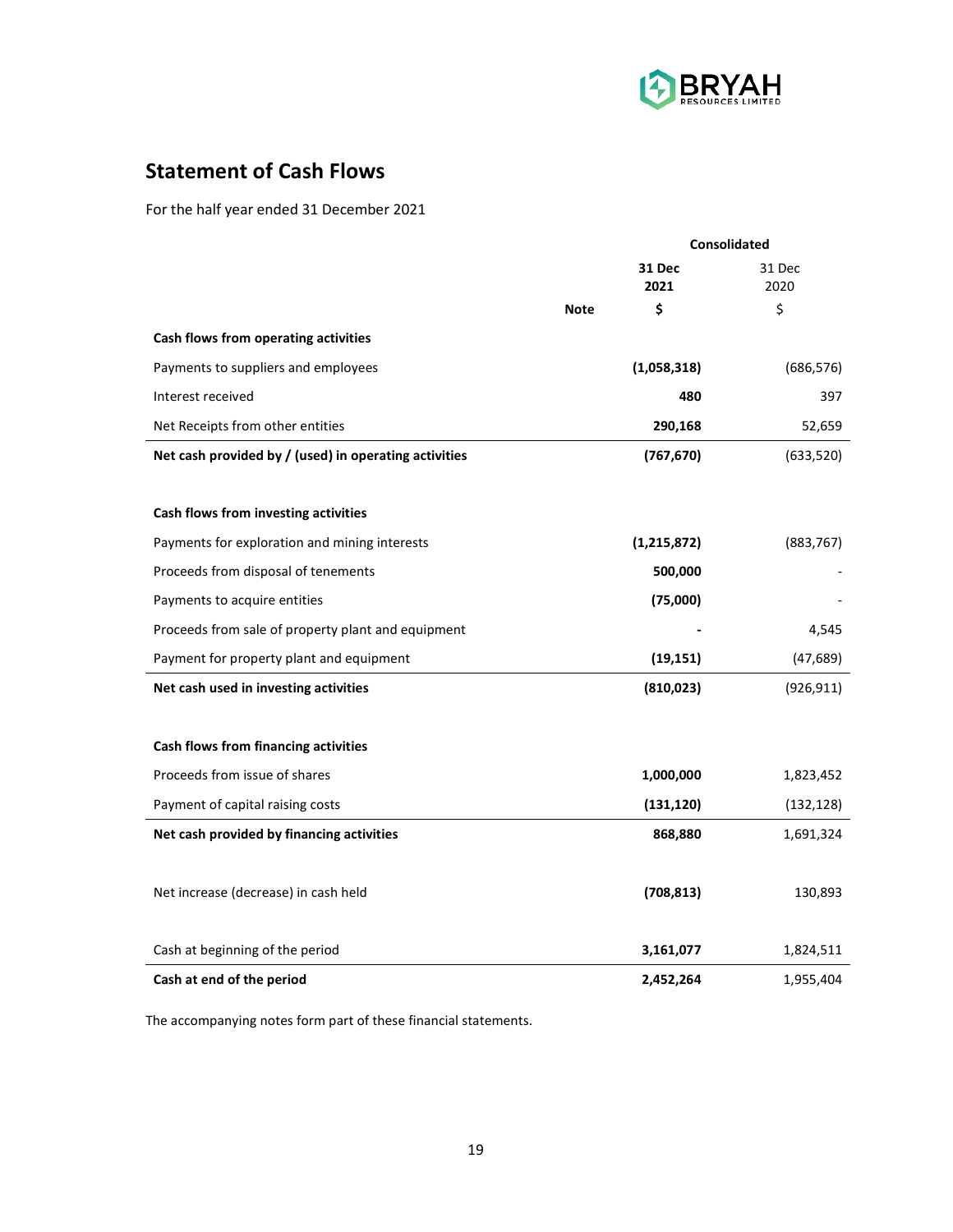

## **Statement of Cash Flows**

For the half year ended 31 December 2021

|                                                       | Consolidated |                |                |
|-------------------------------------------------------|--------------|----------------|----------------|
|                                                       |              | 31 Dec<br>2021 | 31 Dec<br>2020 |
|                                                       | <b>Note</b>  | \$             | \$             |
| Cash flows from operating activities                  |              |                |                |
| Payments to suppliers and employees                   |              | (1,058,318)    | (686, 576)     |
| Interest received                                     |              | 480            | 397            |
| Net Receipts from other entities                      |              | 290,168        | 52,659         |
| Net cash provided by / (used) in operating activities |              | (767, 670)     | (633, 520)     |
|                                                       |              |                |                |
| Cash flows from investing activities                  |              |                |                |
| Payments for exploration and mining interests         |              | (1, 215, 872)  | (883, 767)     |
| Proceeds from disposal of tenements                   |              | 500,000        |                |
| Payments to acquire entities                          |              | (75,000)       |                |
| Proceeds from sale of property plant and equipment    |              |                | 4,545          |
| Payment for property plant and equipment              |              | (19, 151)      | (47, 689)      |
| Net cash used in investing activities                 |              | (810, 023)     | (926, 911)     |
|                                                       |              |                |                |
| Cash flows from financing activities                  |              |                |                |
| Proceeds from issue of shares                         |              | 1,000,000      | 1,823,452      |
| Payment of capital raising costs                      |              | (131, 120)     | (132, 128)     |
| Net cash provided by financing activities             |              | 868,880        | 1,691,324      |
|                                                       |              |                |                |
| Net increase (decrease) in cash held                  |              | (708, 813)     | 130,893        |
|                                                       |              |                |                |
| Cash at beginning of the period                       |              | 3,161,077      | 1,824,511      |
| Cash at end of the period                             |              | 2,452,264      | 1,955,404      |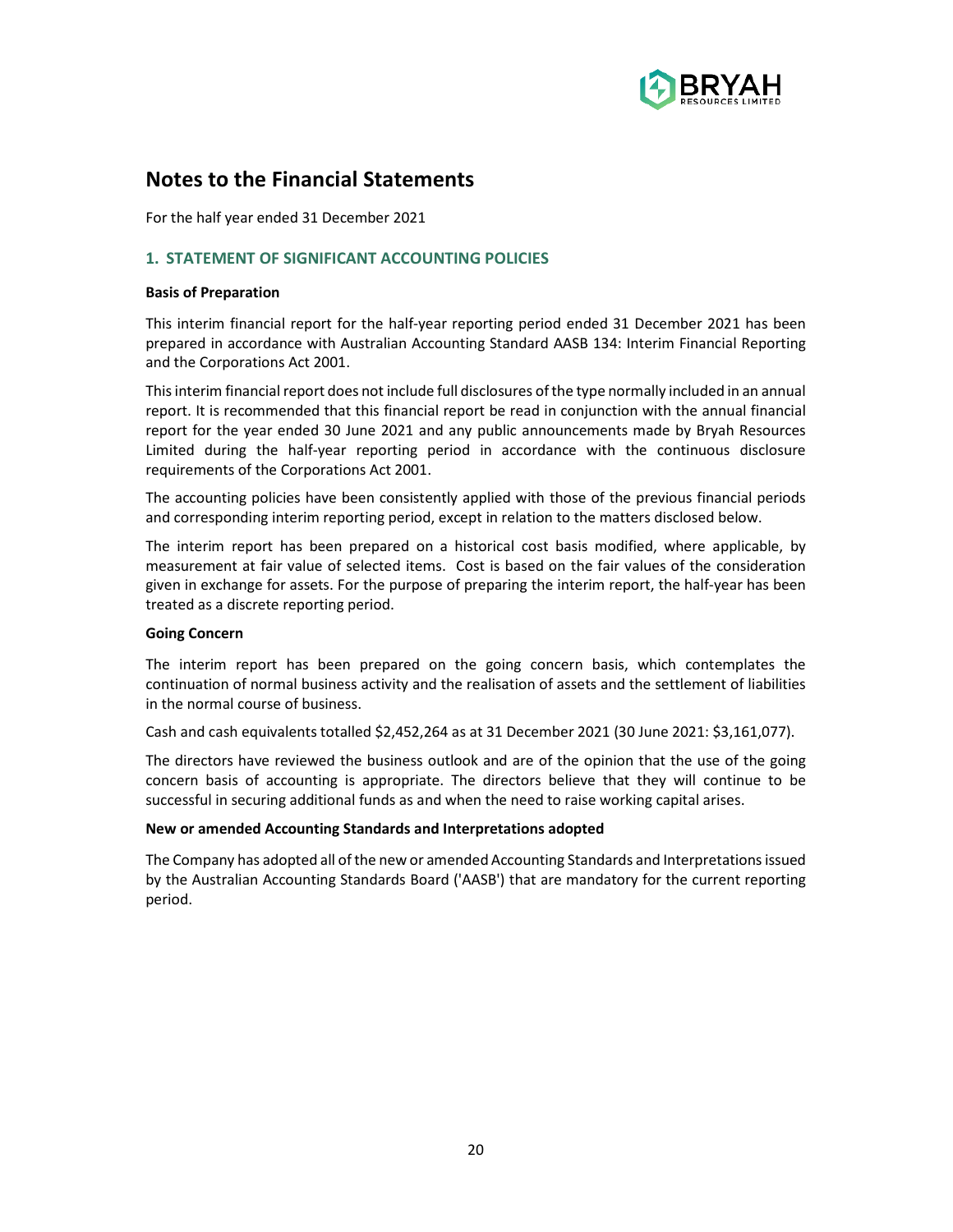

For the half year ended 31 December 2021

## **1. STATEMENT OF SIGNIFICANT ACCOUNTING POLICIES**

#### **Basis of Preparation**

This interim financial report for the half-year reporting period ended 31 December 2021 has been prepared in accordance with Australian Accounting Standard AASB 134: Interim Financial Reporting and the Corporations Act 2001.

This interim financial report does not include full disclosures of the type normally included in an annual report. It is recommended that this financial report be read in conjunction with the annual financial report for the year ended 30 June 2021 and any public announcements made by Bryah Resources Limited during the half-year reporting period in accordance with the continuous disclosure requirements of the Corporations Act 2001.

The accounting policies have been consistently applied with those of the previous financial periods and corresponding interim reporting period, except in relation to the matters disclosed below.

The interim report has been prepared on a historical cost basis modified, where applicable, by measurement at fair value of selected items. Cost is based on the fair values of the consideration given in exchange for assets. For the purpose of preparing the interim report, the half-year has been treated as a discrete reporting period.

## **Going Concern**

The interim report has been prepared on the going concern basis, which contemplates the continuation of normal business activity and the realisation of assets and the settlement of liabilities in the normal course of business.

Cash and cash equivalents totalled \$2,452,264 as at 31 December 2021 (30 June 2021: \$3,161,077).

The directors have reviewed the business outlook and are of the opinion that the use of the going concern basis of accounting is appropriate. The directors believe that they will continue to be successful in securing additional funds as and when the need to raise working capital arises.

#### **New or amended Accounting Standards and Interpretations adopted**

The Company has adopted all of the new or amended Accounting Standards and Interpretations issued by the Australian Accounting Standards Board ('AASB') that are mandatory for the current reporting period.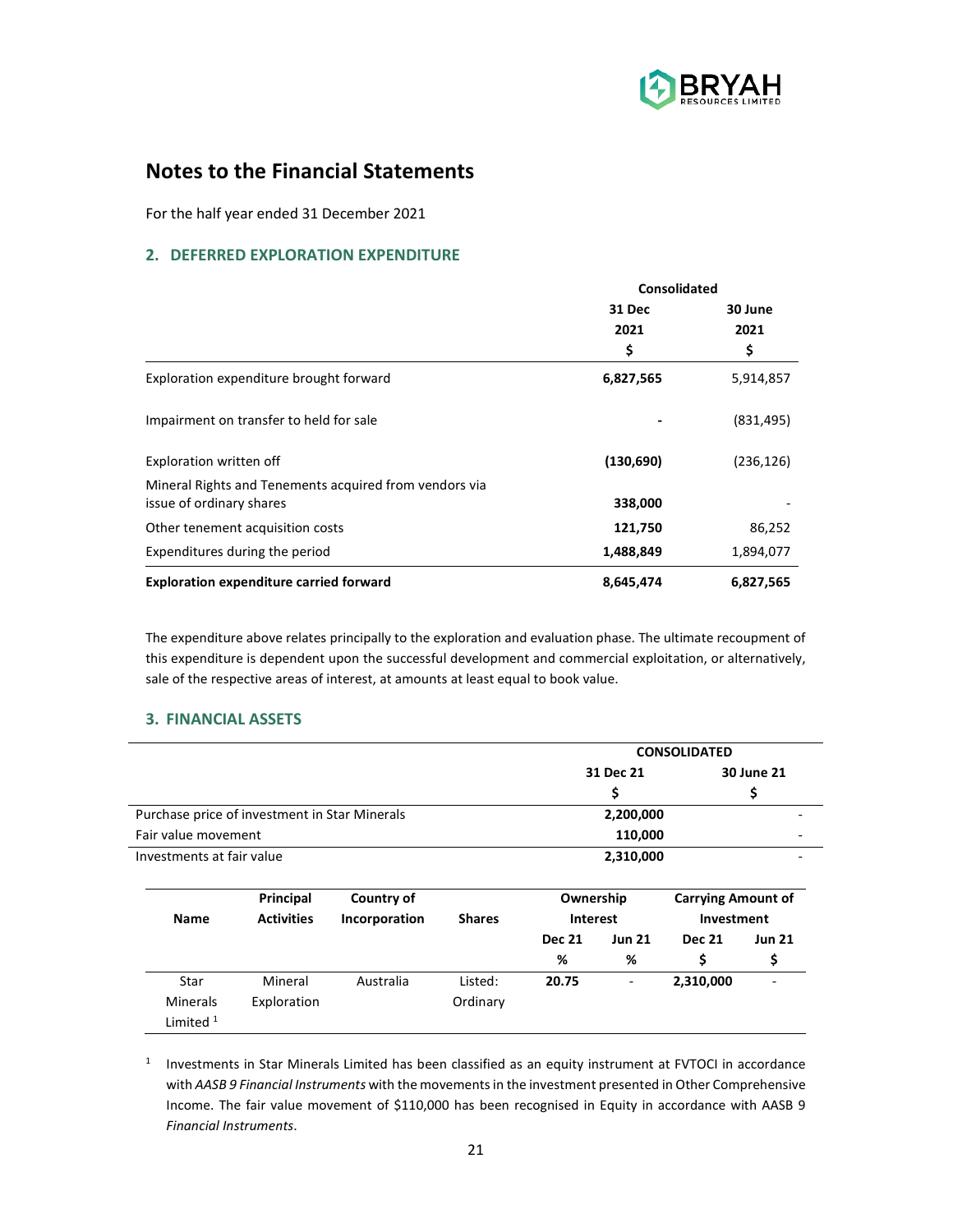

For the half year ended 31 December 2021

## **2. DEFERRED EXPLORATION EXPENDITURE**

|                                                        | Consolidated |                 |  |
|--------------------------------------------------------|--------------|-----------------|--|
|                                                        | 31 Dec       | 30 June<br>2021 |  |
|                                                        | 2021         |                 |  |
|                                                        | \$           | \$              |  |
| Exploration expenditure brought forward                | 6,827,565    | 5,914,857       |  |
| Impairment on transfer to held for sale                |              | (831, 495)      |  |
| Exploration written off                                | (130, 690)   | (236, 126)      |  |
| Mineral Rights and Tenements acquired from vendors via |              |                 |  |
| issue of ordinary shares                               | 338,000      |                 |  |
| Other tenement acquisition costs                       | 121,750      | 86,252          |  |
| Expenditures during the period                         | 1,488,849    | 1,894,077       |  |
| <b>Exploration expenditure carried forward</b>         | 8,645,474    | 6,827,565       |  |

The expenditure above relates principally to the exploration and evaluation phase. The ultimate recoupment of this expenditure is dependent upon the successful development and commercial exploitation, or alternatively, sale of the respective areas of interest, at amounts at least equal to book value.

## **3. FINANCIAL ASSETS**

|                           |                                               |               |               |               |                          | <b>CONSOLIDATED</b>       |               |
|---------------------------|-----------------------------------------------|---------------|---------------|---------------|--------------------------|---------------------------|---------------|
|                           |                                               |               |               |               | 31 Dec 21                |                           | 30 June 21    |
|                           |                                               |               |               |               | \$                       |                           | \$            |
|                           | Purchase price of investment in Star Minerals |               |               |               | 2,200,000                |                           |               |
| Fair value movement       |                                               |               |               |               | 110,000                  |                           |               |
| Investments at fair value |                                               |               |               |               | 2,310,000                |                           |               |
|                           | Principal                                     | Country of    |               | Ownership     |                          | <b>Carrying Amount of</b> |               |
| <b>Name</b>               | <b>Activities</b>                             | Incorporation | <b>Shares</b> | Interest      |                          | Investment                |               |
|                           |                                               |               |               | <b>Dec 21</b> | <b>Jun 21</b>            | <b>Dec 21</b>             | <b>Jun 21</b> |
|                           |                                               |               |               | %             | %                        | \$                        | \$            |
| Star                      | Mineral                                       | Australia     | Listed:       | 20.75         | $\overline{\phantom{a}}$ | 2,310,000                 |               |
| <b>Minerals</b>           | Exploration                                   |               | Ordinary      |               |                          |                           |               |
| Limited $1$               |                                               |               |               |               |                          |                           |               |

<sup>1</sup> Investments in Star Minerals Limited has been classified as an equity instrument at FVTOCI in accordance with *AASB 9 Financial Instruments* with the movements in the investment presented in Other Comprehensive Income. The fair value movement of \$110,000 has been recognised in Equity in accordance with AASB 9 *Financial Instruments*.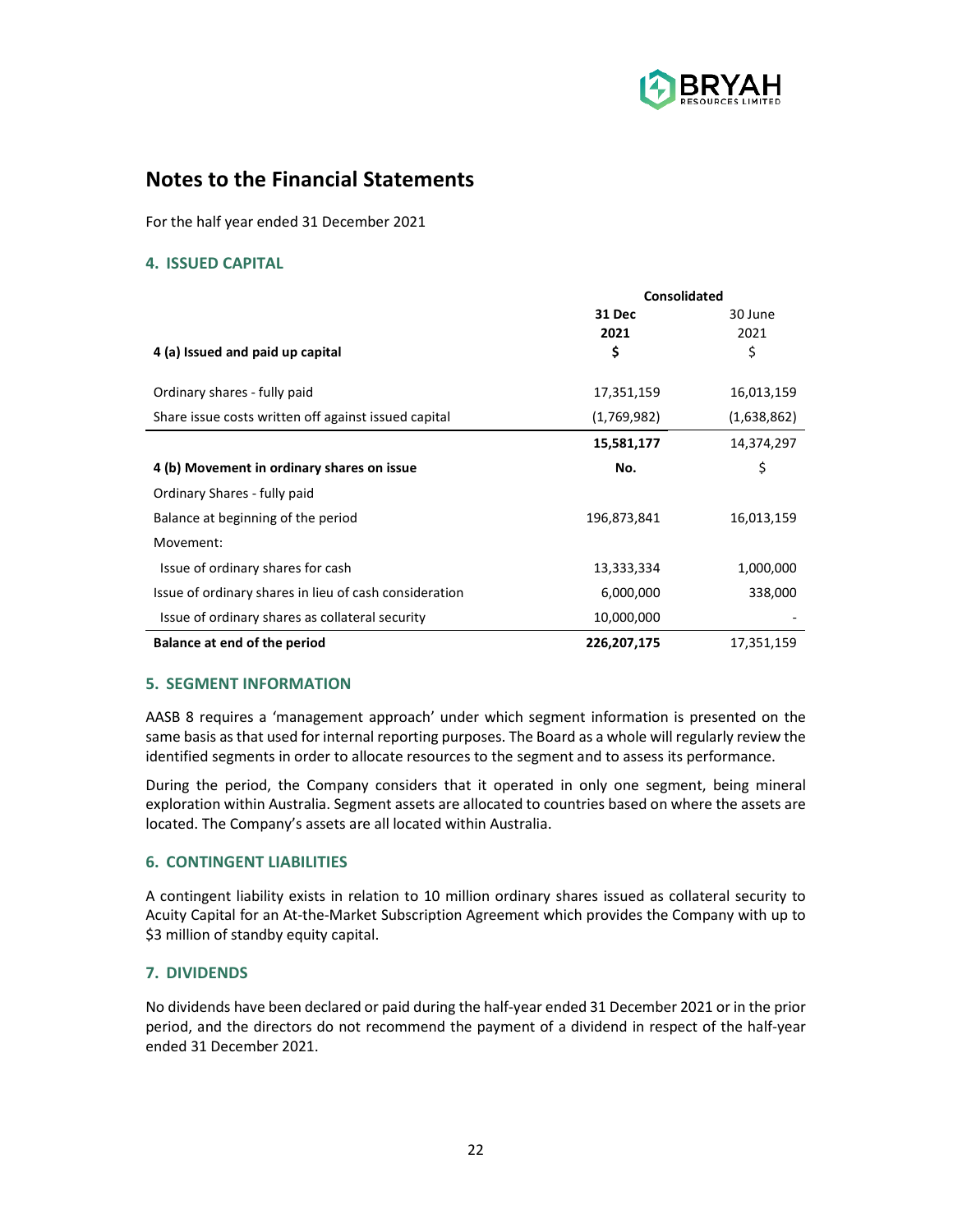

For the half year ended 31 December 2021

## **4. ISSUED CAPITAL**

|                                                        | Consolidated  |             |  |
|--------------------------------------------------------|---------------|-------------|--|
|                                                        | <b>31 Dec</b> | 30 June     |  |
|                                                        | 2021          | 2021        |  |
| 4 (a) Issued and paid up capital                       | \$            | \$          |  |
|                                                        |               |             |  |
| Ordinary shares - fully paid                           | 17,351,159    | 16,013,159  |  |
| Share issue costs written off against issued capital   | (1,769,982)   | (1,638,862) |  |
|                                                        | 15,581,177    | 14,374,297  |  |
| 4 (b) Movement in ordinary shares on issue             | No.           | \$          |  |
| Ordinary Shares - fully paid                           |               |             |  |
| Balance at beginning of the period                     | 196,873,841   | 16,013,159  |  |
| Movement:                                              |               |             |  |
| Issue of ordinary shares for cash                      | 13,333,334    | 1,000,000   |  |
| Issue of ordinary shares in lieu of cash consideration | 6,000,000     | 338,000     |  |
| Issue of ordinary shares as collateral security        | 10,000,000    |             |  |
| Balance at end of the period                           | 226,207,175   | 17,351,159  |  |

## **5. SEGMENT INFORMATION**

AASB 8 requires a 'management approach' under which segment information is presented on the same basis as that used for internal reporting purposes. The Board as a whole will regularly review the identified segments in order to allocate resources to the segment and to assess its performance.

During the period, the Company considers that it operated in only one segment, being mineral exploration within Australia. Segment assets are allocated to countries based on where the assets are located. The Company's assets are all located within Australia.

## **6. CONTINGENT LIABILITIES**

A contingent liability exists in relation to 10 million ordinary shares issued as collateral security to Acuity Capital for an At-the-Market Subscription Agreement which provides the Company with up to \$3 million of standby equity capital.

## **7. DIVIDENDS**

No dividends have been declared or paid during the half-year ended 31 December 2021 or in the prior period, and the directors do not recommend the payment of a dividend in respect of the half-year ended 31 December 2021.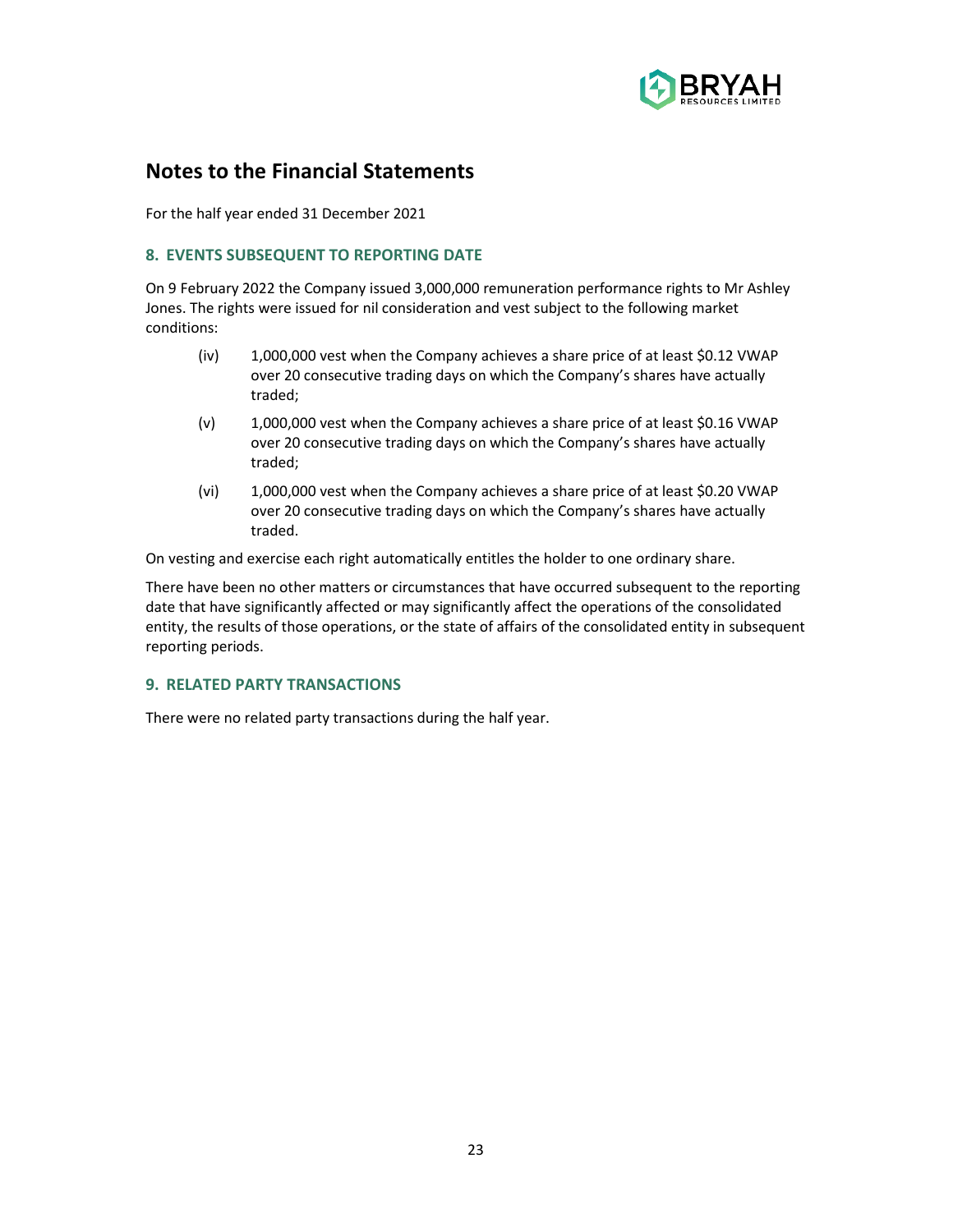

For the half year ended 31 December 2021

## **8. EVENTS SUBSEQUENT TO REPORTING DATE**

On 9 February 2022 the Company issued 3,000,000 remuneration performance rights to Mr Ashley Jones. The rights were issued for nil consideration and vest subject to the following market conditions:

- (iv) 1,000,000 vest when the Company achieves a share price of at least \$0.12 VWAP over 20 consecutive trading days on which the Company's shares have actually traded;
- (v) 1,000,000 vest when the Company achieves a share price of at least \$0.16 VWAP over 20 consecutive trading days on which the Company's shares have actually traded;
- (vi) 1,000,000 vest when the Company achieves a share price of at least \$0.20 VWAP over 20 consecutive trading days on which the Company's shares have actually traded.

On vesting and exercise each right automatically entitles the holder to one ordinary share.

There have been no other matters or circumstances that have occurred subsequent to the reporting date that have significantly affected or may significantly affect the operations of the consolidated entity, the results of those operations, or the state of affairs of the consolidated entity in subsequent reporting periods.

## **9. RELATED PARTY TRANSACTIONS**

There were no related party transactions during the half year.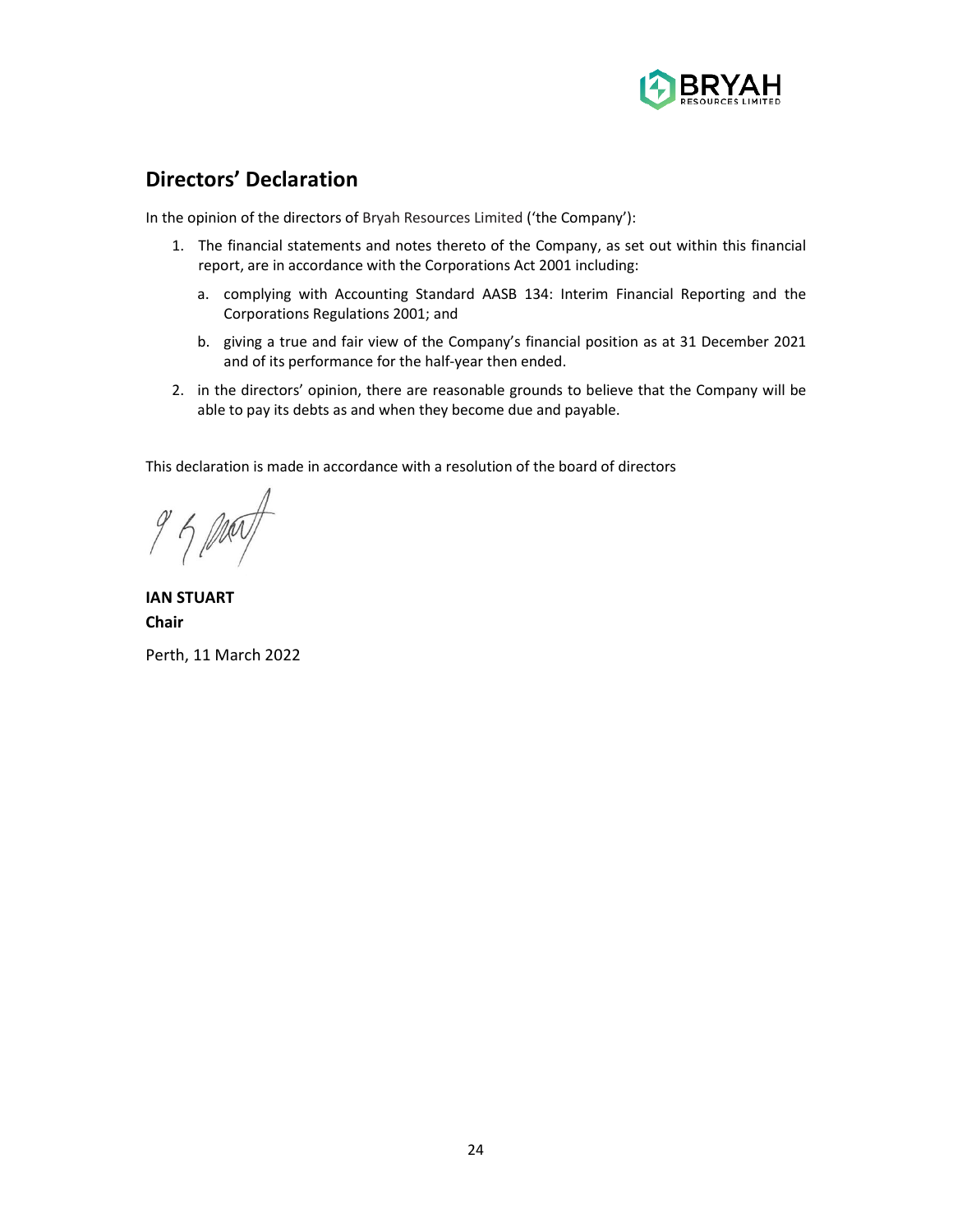

## **Directors' Declaration**

In the opinion of the directors of Bryah Resources Limited ('the Company'):

- 1. The financial statements and notes thereto of the Company, as set out within this financial report, are in accordance with the Corporations Act 2001 including:
	- a. complying with Accounting Standard AASB 134: Interim Financial Reporting and the Corporations Regulations 2001; and
	- b. giving a true and fair view of the Company's financial position as at 31 December 2021 and of its performance for the half-year then ended.
- 2. in the directors' opinion, there are reasonable grounds to believe that the Company will be able to pay its debts as and when they become due and payable.

This declaration is made in accordance with a resolution of the board of directors

**IAN STUART Chair** Perth, 11 March 2022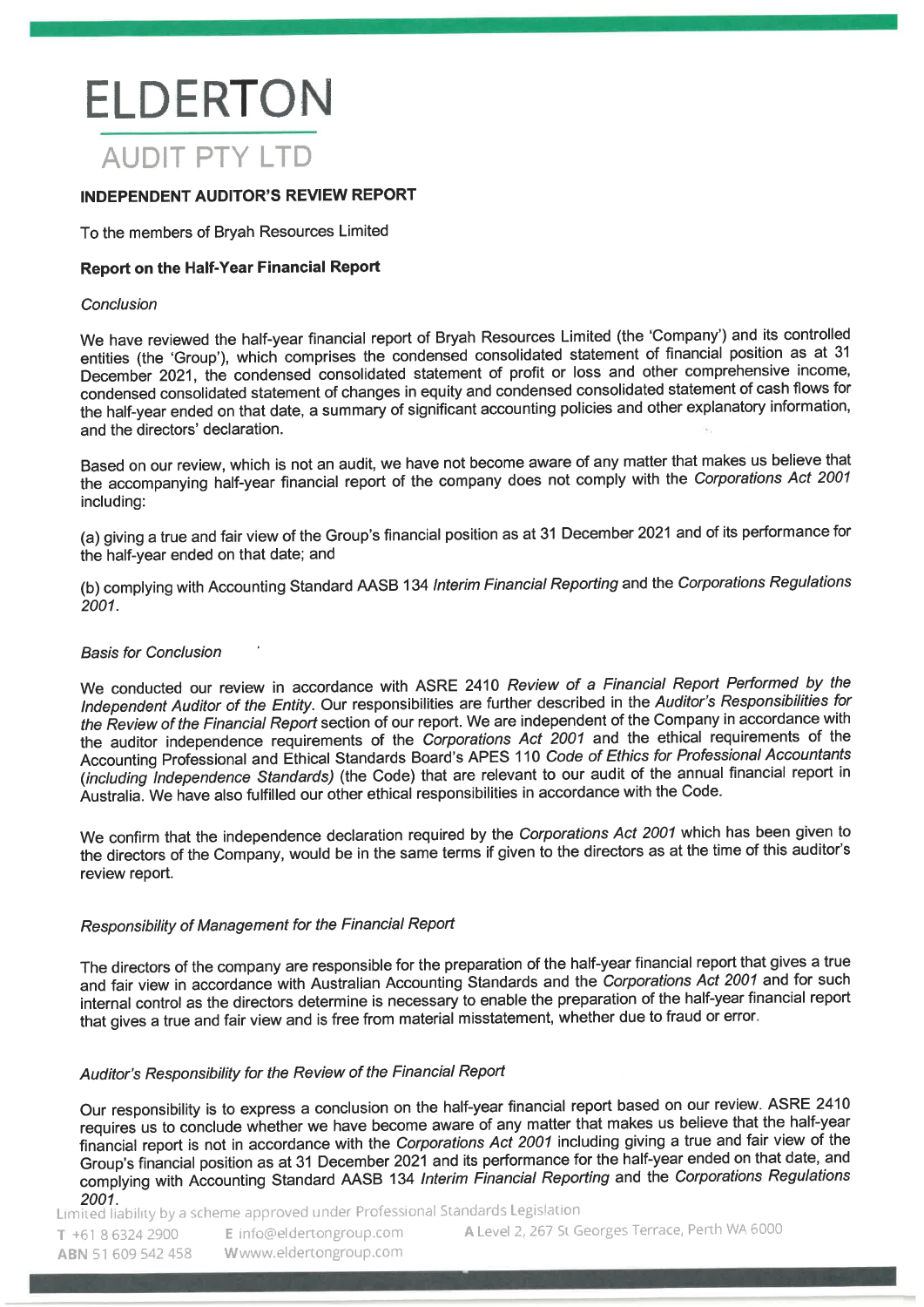# **ELDERTON AUDIT PTY LTD**

## **INDEPENDENT AUDITOR'S REVIEW REPORT**

To the members of Brvah Resources Limited

## **Report on the Half-Year Financial Report**

## Conclusion

We have reviewed the half-year financial report of Bryah Resources Limited (the 'Company') and its controlled entities (the 'Group'), which comprises the condensed consolidated statement of financial position as at 31 December 2021, the condensed consolidated statement of profit or loss and other comprehensive income, condensed consolidated statement of changes in equity and condensed consolidated statement of cash flows for the half-year ended on that date, a summary of significant accounting policies and other explanatory information, and the directors' declaration.

Based on our review, which is not an audit, we have not become aware of any matter that makes us believe that the accompanying half-year financial report of the company does not comply with the Corporations Act 2001 including:

(a) giving a true and fair view of the Group's financial position as at 31 December 2021 and of its performance for the half-year ended on that date; and

(b) complying with Accounting Standard AASB 134 Interim Financial Reporting and the Corporations Regulations 2001.

## **Basis for Conclusion**

We conducted our review in accordance with ASRE 2410 Review of a Financial Report Performed by the Independent Auditor of the Entity. Our responsibilities are further described in the Auditor's Responsibilities for the Review of the Financial Report section of our report. We are independent of the Company in accordance with the auditor independence requirements of the Corporations Act 2001 and the ethical requirements of the Accounting Professional and Ethical Standards Board's APES 110 Code of Ethics for Professional Accountants (including Independence Standards) (the Code) that are relevant to our audit of the annual financial report in Australia. We have also fulfilled our other ethical responsibilities in accordance with the Code.

We confirm that the independence declaration required by the Corporations Act 2001 which has been given to the directors of the Company, would be in the same terms if given to the directors as at the time of this auditor's review report.

## Responsibility of Management for the Financial Report

The directors of the company are responsible for the preparation of the half-year financial report that gives a true and fair view in accordance with Australian Accounting Standards and the Corporations Act 2001 and for such internal control as the directors determine is necessary to enable the preparation of the half-year financial report that gives a true and fair view and is free from material misstatement, whether due to fraud or error.

## Auditor's Responsibility for the Review of the Financial Report

Our responsibility is to express a conclusion on the half-year financial report based on our review. ASRE 2410 requires us to conclude whether we have become aware of any matter that makes us believe that the half-year financial report is not in accordance with the Corporations Act 2001 including giving a true and fair view of the Group's financial position as at 31 December 2021 and its performance for the half-year ended on that date, and complying with Accounting Standard AASB 134 Interim Financial Reporting and the Corporations Regulations 2001.

Limited liability by a scheme approved under Professional Standards Legislation

T +61 8 6324 2900 ABN 51 609 542 458 E info@eldertongroup.com Www.eldertongroup.com

A Level 2, 267 St Georges Terrace, Perth WA 6000